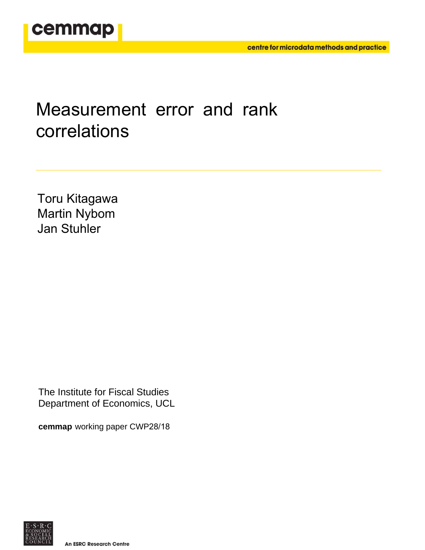

# Measurement error and rank correlations

Toru Kitagawa Martin Nybom Jan Stuhler

The Institute for Fiscal Studies Department of Economics, UCL

**cemmap** working paper CWP28/18

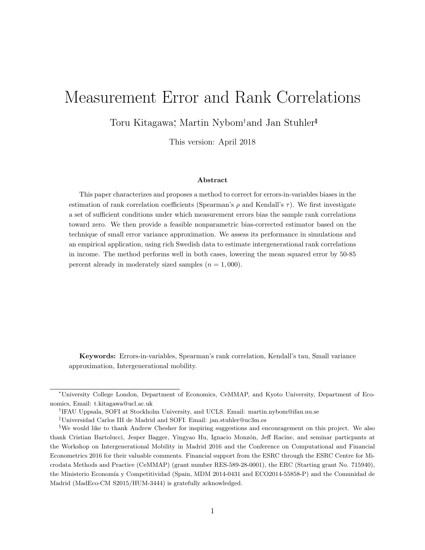## Measurement Error and Rank Correlations

Toru Kitagawa<sup>∗</sup> , Martin Nybom†and Jan Stuhler‡§

This version: April 2018

#### Abstract

This paper characterizes and proposes a method to correct for errors-in-variables biases in the estimation of rank correlation coefficients (Spearman's  $\rho$  and Kendall's  $\tau$ ). We first investigate a set of sufficient conditions under which measurement errors bias the sample rank correlations toward zero. We then provide a feasible nonparametric bias-corrected estimator based on the technique of small error variance approximation. We assess its performance in simulations and an empirical application, using rich Swedish data to estimate intergenerational rank correlations in income. The method performs well in both cases, lowering the mean squared error by 50-85 percent already in moderately sized samples  $(n = 1,000)$ .

Keywords: Errors-in-variables, Spearman's rank correlation, Kendall's tau, Small variance approximation, Intergenerational mobility.

<sup>∗</sup>University College London, Department of Economics, CeMMAP, and Kyoto University, Department of Economics, Email: t.kitagawa@ucl.ac.uk

<sup>†</sup> IFAU Uppsala, SOFI at Stockholm University, and UCLS. Email: martin.nybom@ifau.uu.se

<sup>‡</sup>Universidad Carlos III de Madrid and SOFI. Email: jan.stuhler@uc3m.es

<sup>§</sup>We would like to thank Andrew Chesher for inspiring suggestions and encouragement on this project. We also thank Cristian Bartolucci, Jesper Bagger, Yingyao Hu, Ignacio Monzón, Jeff Racine, and seminar particpants at the Workshop on Intergenerational Mobility in Madrid 2016 and the Conference on Computational and Financial Econometrics 2016 for their valuable comments. Financial support from the ESRC through the ESRC Centre for Microdata Methods and Practice (CeMMAP) (grant number RES-589-28-0001), the ERC (Starting grant No. 715940), the Ministerio Economía y Competitividad (Spain, MDM 2014-0431 and ECO2014-55858-P) and the Comunidad de Madrid (MadEco-CM S2015/HUM-3444) is gratefully acknowledged.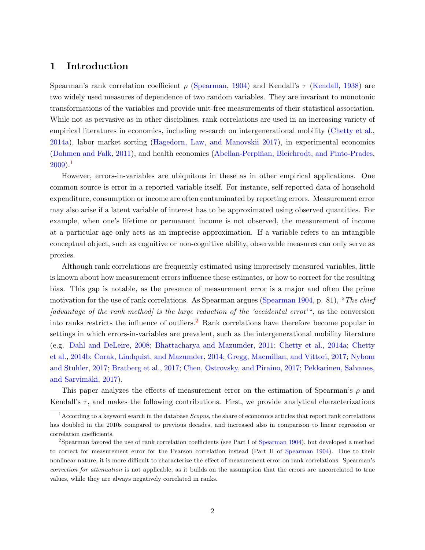## 1 Introduction

Spearman's rank correlation coefficient  $\rho$  [\(Spearman,](#page-33-0) [1904\)](#page-33-0) and Kendall's  $\tau$  [\(Kendall,](#page-32-0) [1938\)](#page-32-0) are two widely used measures of dependence of two random variables. They are invariant to monotonic transformations of the variables and provide unit-free measurements of their statistical association. While not as pervasive as in other disciplines, rank correlations are used in an increasing variety of empirical literatures in economics, including research on intergenerational mobility [\(Chetty et al.,](#page-31-0) [2014a\)](#page-31-0), labor market sorting [\(Hagedorn, Law, and Manovskii](#page-32-1) [2017\)](#page-32-1), in experimental economics [\(Dohmen and Falk,](#page-32-2) [2011\)](#page-32-2), and health economics (Abellan-Perpiñan, Bleichrodt, and Pinto-Prades,  $2009$ ).<sup>[1](#page-2-0)</sup>

However, errors-in-variables are ubiquitous in these as in other empirical applications. One common source is error in a reported variable itself. For instance, self-reported data of household expenditure, consumption or income are often contaminated by reporting errors. Measurement error may also arise if a latent variable of interest has to be approximated using observed quantities. For example, when one's lifetime or permanent income is not observed, the measurement of income at a particular age only acts as an imprecise approximation. If a variable refers to an intangible conceptual object, such as cognitive or non-cognitive ability, observable measures can only serve as proxies.

Although rank correlations are frequently estimated using imprecisely measured variables, little is known about how measurement errors influence these estimates, or how to correct for the resulting bias. This gap is notable, as the presence of measurement error is a major and often the prime motivation for the use of rank correlations. As Spearman argues [\(Spearman](#page-33-0) [1904,](#page-33-0) p. 81), "The chief [advantage of the rank method] is the large reduction of the 'accidental error'", as the conversion into ranks restricts the influence of outliers.<sup>[2](#page-2-1)</sup> Rank correlations have therefore become popular in settings in which errors-in-variables are prevalent, such as the intergenerational mobility literature (e.g. [Dahl and DeLeire,](#page-31-1) [2008;](#page-31-1) [Bhattacharya and Mazumder,](#page-30-1) [2011;](#page-30-1) [Chetty et al.,](#page-31-0) [2014a;](#page-31-0) [Chetty](#page-31-2) [et al.,](#page-31-2) [2014b;](#page-31-2) [Corak, Lindquist, and Mazumder,](#page-31-3) [2014;](#page-31-3) [Gregg, Macmillan, and Vittori,](#page-32-3) [2017;](#page-32-3) [Nybom](#page-33-1) [and Stuhler,](#page-33-1) [2017;](#page-33-1) [Bratberg et al.,](#page-30-2) [2017;](#page-30-2) [Chen, Ostrovsky, and Piraino,](#page-30-3) [2017;](#page-30-3) [Pekkarinen, Salvanes,](#page-33-2) and Sarvimäki, [2017\)](#page-33-2).

This paper analyzes the effects of measurement error on the estimation of Spearman's  $\rho$  and Kendall's  $\tau$ , and makes the following contributions. First, we provide analytical characterizations

<span id="page-2-0"></span> $1$ According to a keyword search in the database *Scopus*, the share of economics articles that report rank correlations has doubled in the 2010s compared to previous decades, and increased also in comparison to linear regression or correlation coefficients.

<span id="page-2-1"></span><sup>2</sup>Spearman favored the use of rank correlation coefficients (see Part I of [Spearman](#page-33-0) [1904\)](#page-33-0), but developed a method to correct for measurement error for the Pearson correlation instead (Part II of [Spearman](#page-33-0) [1904\)](#page-33-0). Due to their nonlinear nature, it is more difficult to characterize the effect of measurement error on rank correlations. Spearman's correction for attenuation is not applicable, as it builds on the assumption that the errors are uncorrelated to true values, while they are always negatively correlated in ranks.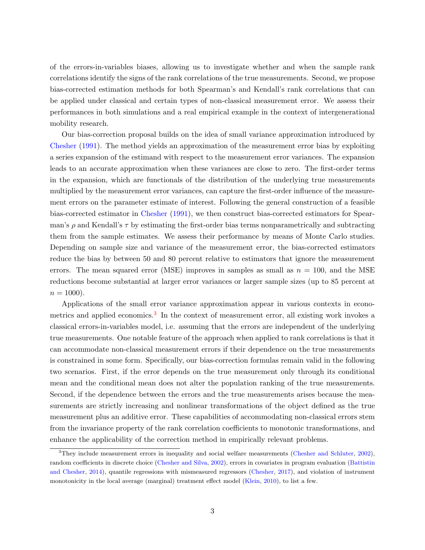of the errors-in-variables biases, allowing us to investigate whether and when the sample rank correlations identify the signs of the rank correlations of the true measurements. Second, we propose bias-corrected estimation methods for both Spearman's and Kendall's rank correlations that can be applied under classical and certain types of non-classical measurement error. We assess their performances in both simulations and a real empirical example in the context of intergenerational mobility research.

Our bias-correction proposal builds on the idea of small variance approximation introduced by [Chesher](#page-31-4) [\(1991\)](#page-31-4). The method yields an approximation of the measurement error bias by exploiting a series expansion of the estimand with respect to the measurement error variances. The expansion leads to an accurate approximation when these variances are close to zero. The first-order terms in the expansion, which are functionals of the distribution of the underlying true measurements multiplied by the measurement error variances, can capture the first-order influence of the measurement errors on the parameter estimate of interest. Following the general construction of a feasible bias-corrected estimator in [Chesher](#page-31-4) [\(1991\)](#page-31-4), we then construct bias-corrected estimators for Spearman's  $\rho$  and Kendall's  $\tau$  by estimating the first-order bias terms nonparametrically and subtracting them from the sample estimates. We assess their performance by means of Monte Carlo studies. Depending on sample size and variance of the measurement error, the bias-corrected estimators reduce the bias by between 50 and 80 percent relative to estimators that ignore the measurement errors. The mean squared error (MSE) improves in samples as small as  $n = 100$ , and the MSE reductions become substantial at larger error variances or larger sample sizes (up to 85 percent at  $n = 1000$ ).

Applications of the small error variance approximation appear in various contexts in econo-metrics and applied economics.<sup>[3](#page-3-0)</sup> In the context of measurement error, all existing work invokes a classical errors-in-variables model, i.e. assuming that the errors are independent of the underlying true measurements. One notable feature of the approach when applied to rank correlations is that it can accommodate non-classical measurement errors if their dependence on the true measurements is constrained in some form. Specifically, our bias-correction formulas remain valid in the following two scenarios. First, if the error depends on the true measurement only through its conditional mean and the conditional mean does not alter the population ranking of the true measurements. Second, if the dependence between the errors and the true measurements arises because the measurements are strictly increasing and nonlinear transformations of the object defined as the true measurement plus an additive error. These capabilities of accommodating non-classical errors stem from the invariance property of the rank correlation coefficients to monotonic transformations, and enhance the applicability of the correction method in empirically relevant problems.

<span id="page-3-0"></span><sup>&</sup>lt;sup>3</sup>They include measurement errors in inequality and social welfare measurements [\(Chesher and Schluter,](#page-31-5) [2002\)](#page-31-5), random coefficients in discrete choice [\(Chesher and Silva,](#page-31-6) [2002\)](#page-31-6), errors in covariates in program evaluation [\(Battistin](#page-30-4) [and Chesher,](#page-30-4) [2014\)](#page-30-4), quantile regressions with mismeasured regressors [\(Chesher,](#page-31-7) [2017\)](#page-31-7), and violation of instrument monotonicity in the local average (marginal) treatment effect model [\(Klein,](#page-32-4) [2010\)](#page-32-4), to list a few.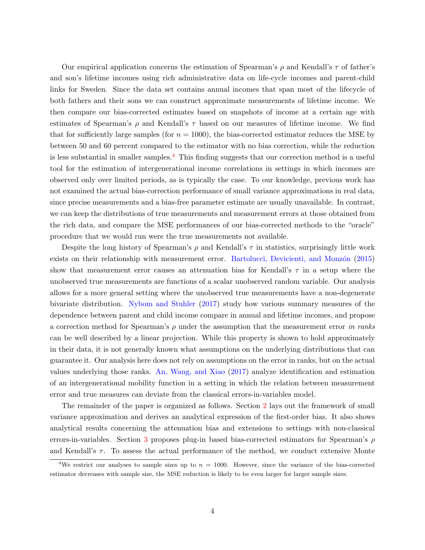Our empirical application concerns the estimation of Spearman's  $\rho$  and Kendall's  $\tau$  of father's and son's lifetime incomes using rich administrative data on life-cycle incomes and parent-child links for Sweden. Since the data set contains annual incomes that span most of the lifecycle of both fathers and their sons we can construct approximate measurements of lifetime income. We then compare our bias-corrected estimates based on snapshots of income at a certain age with estimates of Spearman's  $\rho$  and Kendall's  $\tau$  based on our measures of lifetime income. We find that for sufficiently large samples (for  $n = 1000$ ), the bias-corrected estimator reduces the MSE by between 50 and 60 percent compared to the estimator with no bias correction, while the reduction is less substantial in smaller samples.<sup>[4](#page-4-0)</sup> This finding suggests that our correction method is a useful tool for the estimation of intergenerational income correlations in settings in which incomes are observed only over limited periods, as is typically the case. To our knowledge, previous work has not examined the actual bias-correction performance of small variance approximations in real data, since precise measurements and a bias-free parameter estimate are usually unavailable. In contrast, we can keep the distributions of true measurements and measurement errors at those obtained from the rich data, and compare the MSE performances of our bias-corrected methods to the "oracle" procedure that we would run were the true measurements not available.

Despite the long history of Spearman's  $\rho$  and Kendall's  $\tau$  in statistics, surprisingly little work exists on their relationship with measurement error. Bartolucci, Devicienti, and Monzón [\(2015\)](#page-30-5) show that measurement error causes an attenuation bias for Kendall's  $\tau$  in a setup where the unobserved true measurements are functions of a scalar unobserved random variable. Our analysis allows for a more general setting where the unobserved true measurements have a non-degenerate bivariate distribution. [Nybom and Stuhler](#page-33-1) [\(2017\)](#page-33-1) study how various summary measures of the dependence between parent and child income compare in annual and lifetime incomes, and propose a correction method for Spearman's  $\rho$  under the assumption that the measurement error in ranks can be well described by a linear projection. While this property is shown to hold approximately in their data, it is not generally known what assumptions on the underlying distributions that can guarantee it. Our analysis here does not rely on assumptions on the error in ranks, but on the actual values underlying those ranks. [An, Wang, and Xiao](#page-30-6) [\(2017\)](#page-30-6) analyze identification and estimation of an intergenerational mobility function in a setting in which the relation between measurement error and true measures can deviate from the classical errors-in-variables model.

The remainder of the paper is organized as follows. Section [2](#page-5-0) lays out the framework of small variance approximation and derives an analytical expression of the first-order bias. It also shows analytical results concerning the attenuation bias and extensions to settings with non-classical errors-in-variables. Section [3](#page-11-0) proposes plug-in based bias-corrected estimators for Spearman's  $\rho$ and Kendall's  $\tau$ . To assess the actual performance of the method, we conduct extensive Monte

<span id="page-4-0"></span><sup>&</sup>lt;sup>4</sup>We restrict our analyses to sample sizes up to  $n = 1000$ . However, since the variance of the bias-corrected estimator decreases with sample size, the MSE reduction is likely to be even larger for larger sample sizes.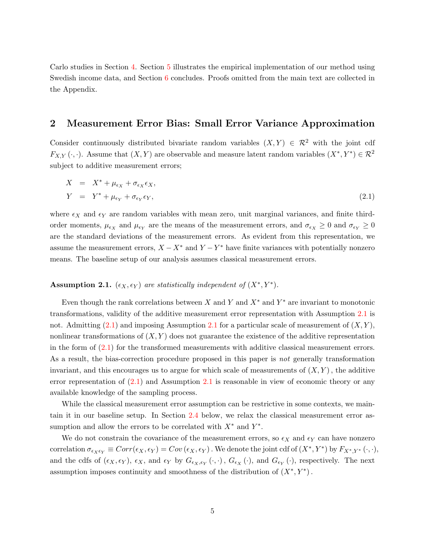Carlo studies in Section [4.](#page-13-0) Section [5](#page-22-0) illustrates the empirical implementation of our method using Swedish income data, and Section [6](#page-28-0) concludes. Proofs omitted from the main text are collected in the Appendix.

## <span id="page-5-0"></span>2 Measurement Error Bias: Small Error Variance Approximation

Consider continuously distributed bivariate random variables  $(X, Y) \in \mathbb{R}^2$  with the joint cdf  $F_{X,Y}(\cdot,\cdot)$ . Assume that  $(X,Y)$  are observable and measure latent random variables  $(X^*,Y^*)\in\mathcal{R}^2$ subject to additive measurement errors;

<span id="page-5-2"></span>
$$
X = X^* + \mu_{\epsilon_X} + \sigma_{\epsilon_X} \epsilon_X,
$$
  
\n
$$
Y = Y^* + \mu_{\epsilon_Y} + \sigma_{\epsilon_Y} \epsilon_Y,
$$
\n(2.1)

where  $\epsilon_X$  and  $\epsilon_Y$  are random variables with mean zero, unit marginal variances, and finite thirdorder moments,  $\mu_{\epsilon_X}$  and  $\mu_{\epsilon_Y}$  are the means of the measurement errors, and  $\sigma_{\epsilon_X} \ge 0$  and  $\sigma_{\epsilon_Y} \ge 0$ are the standard deviations of the measurement errors. As evident from this representation, we assume the measurement errors,  $X - X^*$  and  $Y - Y^*$  have finite variances with potentially nonzero means. The baseline setup of our analysis assumes classical measurement errors.

## <span id="page-5-1"></span>Assumption 2.1.  $(\epsilon_X, \epsilon_Y)$  are statistically independent of  $(X^*, Y^*)$ .

Even though the rank correlations between X and Y and  $X^*$  and  $Y^*$  are invariant to monotonic transformations, validity of the additive measurement error representation with Assumption [2.1](#page-5-1) is not. Admitting  $(2.1)$  and imposing Assumption [2.1](#page-5-1) for a particular scale of measurement of  $(X, Y)$ , nonlinear transformations of  $(X, Y)$  does not guarantee the existence of the additive representation in the form of [\(2.1\)](#page-5-2) for the transformed measurements with additive classical measurement errors. As a result, the bias-correction procedure proposed in this paper is *not* generally transformation invariant, and this encourages us to argue for which scale of measurements of  $(X, Y)$ , the additive error representation of [\(2.1\)](#page-5-2) and Assumption [2.1](#page-5-1) is reasonable in view of economic theory or any available knowledge of the sampling process.

While the classical measurement error assumption can be restrictive in some contexts, we maintain it in our baseline setup. In Section [2.4](#page-10-0) below, we relax the classical measurement error assumption and allow the errors to be correlated with  $X^*$  and  $Y^*$ .

We do not constrain the covariance of the measurement errors, so  $\epsilon_X$  and  $\epsilon_Y$  can have nonzero correlation  $\sigma_{\epsilon_X \epsilon_Y} \equiv Corr(\epsilon_X, \epsilon_Y) = Cov(\epsilon_X, \epsilon_Y)$ . We denote the joint cdf of  $(X^*, Y^*)$  by  $F_{X^*, Y^*}(\cdot, \cdot)$ , and the cdfs of  $(\epsilon_X, \epsilon_Y)$ ,  $\epsilon_X$ , and  $\epsilon_Y$  by  $G_{\epsilon_X, \epsilon_Y}(\cdot, \cdot)$ ,  $G_{\epsilon_X}(\cdot)$ , and  $G_{\epsilon_Y}(\cdot)$ , respectively. The next assumption imposes continuity and smoothness of the distribution of  $(X^*, Y^*)$ .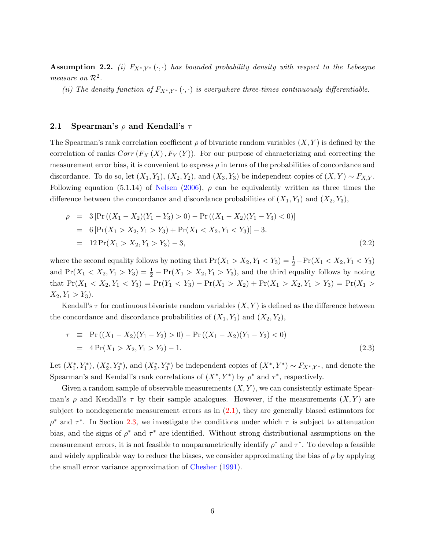<span id="page-6-0"></span>**Assumption 2.2.** (i)  $F_{X^*,Y^*}(\cdot, \cdot)$  has bounded probability density with respect to the Lebesgue measure on  $\mathcal{R}^2$ .

(ii) The density function of  $F_{X^*,Y^*}(\cdot,\cdot)$  is everywhere three-times continuously differentiable.

#### 2.1 Spearman's  $\rho$  and Kendall's  $\tau$

The Spearman's rank correlation coefficient  $\rho$  of bivariate random variables  $(X, Y)$  is defined by the correlation of ranks  $Corr(F_X(X), F_Y(Y))$ . For our purpose of characterizing and correcting the measurement error bias, it is convenient to express  $\rho$  in terms of the probabilities of concordance and discordance. To do so, let  $(X_1, Y_1), (X_2, Y_2)$ , and  $(X_3, Y_3)$  be independent copies of  $(X, Y) \sim F_{X,Y}$ . Following equation (5.1.14) of [Nelsen](#page-32-5) [\(2006\)](#page-32-5),  $\rho$  can be equivalently written as three times the difference between the concordance and discordance probabilities of  $(X_1, Y_1)$  and  $(X_2, Y_3)$ ,

<span id="page-6-1"></span>
$$
\rho = 3 \left[ \Pr\left( (X_1 - X_2)(Y_1 - Y_3) > 0 \right) - \Pr\left( (X_1 - X_2)(Y_1 - Y_3) < 0 \right) \right]
$$
\n
$$
= 6 \left[ \Pr(X_1 > X_2, Y_1 > Y_3) + \Pr(X_1 < X_2, Y_1 < Y_3) \right] - 3.
$$
\n
$$
= 12 \Pr(X_1 > X_2, Y_1 > Y_3) - 3,
$$
\n
$$
(2.2)
$$

where the second equality follows by noting that  $Pr(X_1 > X_2, Y_1 < Y_3) = \frac{1}{2} - Pr(X_1 < X_2, Y_1 < Y_3)$ and  $Pr(X_1 < X_2, Y_1 > Y_3) = \frac{1}{2} - Pr(X_1 > X_2, Y_1 > Y_3)$ , and the third equality follows by noting that  $Pr(X_1 < X_2, Y_1 < Y_3) = Pr(Y_1 < Y_3) - Pr(X_1 > X_2) + Pr(X_1 > X_2, Y_1 > Y_3) = Pr(X_1 > X_2)$  $X_2, Y_1 > Y_3$ .

Kendall's  $\tau$  for continuous bivariate random variables  $(X, Y)$  is defined as the difference between the concordance and discordance probabilities of  $(X_1, Y_1)$  and  $(X_2, Y_2)$ ,

<span id="page-6-2"></span>
$$
\tau \equiv \Pr\left((X_1 - X_2)(Y_1 - Y_2) > 0\right) - \Pr\left((X_1 - X_2)(Y_1 - Y_2) < 0\right)
$$
  
= 
$$
4\Pr(X_1 > X_2, Y_1 > Y_2) - 1.
$$
 (2.3)

Let  $(X_1^*, Y_1^*)$ ,  $(X_2^*, Y_2^*)$ , and  $(X_3^*, Y_3^*)$  be independent copies of  $(X^*, Y^*) \sim F_{X^*, Y^*}$ , and denote the Spearman's and Kendall's rank correlations of  $(X^*, Y^*)$  by  $\rho^*$  and  $\tau^*$ , respectively.

Given a random sample of observable measurements  $(X, Y)$ , we can consistently estimate Spearman's  $\rho$  and Kendall's  $\tau$  by their sample analogues. However, if the measurements  $(X, Y)$  are subject to nondegenerate measurement errors as in [\(2.1\)](#page-5-2), they are generally biased estimators for  $\rho^*$  and  $\tau^*$ . In Section [2.3,](#page-8-0) we investigate the conditions under which  $\tau$  is subject to attenuation bias, and the signs of  $\rho^*$  and  $\tau^*$  are identified. Without strong distributional assumptions on the measurement errors, it is not feasible to nonparametrically identify  $\rho^*$  and  $\tau^*$ . To develop a feasible and widely applicable way to reduce the biases, we consider approximating the bias of  $\rho$  by applying the small error variance approximation of [Chesher](#page-31-4) [\(1991\)](#page-31-4).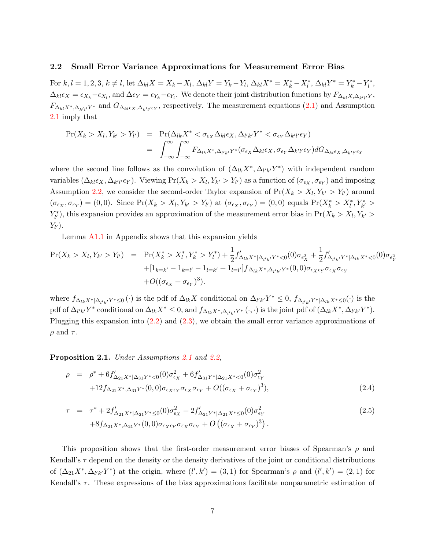#### 2.2 Small Error Variance Approximations for Measurement Error Bias

For  $k, l = 1, 2, 3, k \neq l$ , let  $\Delta_{kl} X = X_k - X_l$ ,  $\Delta_{kl} Y = Y_k - Y_l$ ,  $\Delta_{kl} X^* = X_k^* - X_l^*$ ,  $\Delta_{kl} Y^* = Y_k^* - Y_l^*$ ,  $\Delta_{kl} \epsilon_X = \epsilon_{X_k} - \epsilon_{X_l}$ , and  $\Delta \epsilon_Y = \epsilon_{Y_k} - \epsilon_{Y_l}$ . We denote their joint distribution functions by  $F_{\Delta_{kl}X, \Delta_{k'l}}$ ,  $F_{\Delta_{kl}X^*,\Delta_{k'l'}Y^*}$  and  $G_{\Delta_{kl}\epsilon_X,\Delta_{k'l'}\epsilon_Y}$ , respectively. The measurement equations  $(2.1)$  and Assumption [2.1](#page-5-1) imply that

$$
\Pr(X_k > X_l, Y_{k'} > Y_{l'}) = \Pr(\Delta_{lk} X^* < \sigma_{\epsilon_X} \Delta_{kl} \epsilon_X, \Delta_{l'k'} Y^* < \sigma_{\epsilon_Y} \Delta_{k'l'} \epsilon_Y)
$$
  
= 
$$
\int_{-\infty}^{\infty} \int_{-\infty}^{\infty} F_{\Delta_{lk} X^*, \Delta_{l'k'} Y^*} (\sigma_{\epsilon_X} \Delta_{kl} \epsilon_X, \sigma_{\epsilon_Y} \Delta_{k'l'} \epsilon_Y) dG_{\Delta_{kl} \epsilon_X, \Delta_{k'l'} \epsilon_Y}
$$

where the second line follows as the convolution of  $(\Delta_{lk} X^*, \Delta_{l'k'} Y^*)$  with independent random variables  $(\Delta_{kl} \epsilon_X, \Delta_{k'l'} \epsilon_Y)$ . Viewing  $Pr(X_k > X_l, Y_{k'} > Y_{l'})$  as a function of  $(\sigma_{\epsilon_X}, \sigma_{\epsilon_Y})$  and imposing Assumption [2.2,](#page-6-0) we consider the second-order Taylor expansion of  $Pr(X_k > X_l, Y_{k'} > Y_{l'})$  around  $(\sigma_{\epsilon_X}, \sigma_{\epsilon_Y}) = (0, 0)$ . Since  $\Pr(X_k > X_l, Y_{k'} > Y_{l'})$  at  $(\sigma_{\epsilon_X}, \sigma_{\epsilon_Y}) = (0, 0)$  equals  $\Pr(X_k^* > X_l^*, Y_{k'}^* > Y_{l'})$  $Y_{l'}^*$ , this expansion provides an approximation of the measurement error bias in  $Pr(X_k > X_l, Y_{k'} >$  $Y_{l^{\prime}}).$ 

Lemma [A1.1](#page-34-0) in Appendix shows that this expansion yields

$$
\Pr(X_k > X_l, Y_{k'} > Y_{l'}) = \Pr(X_k^* > X_l^*, Y_k^* > Y_l^*) + \frac{1}{2} f'_{\Delta_{lk} X^* | \Delta_{l'k'} Y^* < 0}(0) \sigma_{\epsilon_X^2} + \frac{1}{2} f'_{\Delta_{l'k'} Y^* | \Delta_{lk} X^* < 0}(0) \sigma_{\epsilon_Y^2}
$$
\n
$$
+ [1_{k=k'} - 1_{k=l'} - 1_{l=k'} + 1_{l=l'}] f_{\Delta_{lk} X^*, \Delta_{l'k'} Y^*}(0, 0) \sigma_{\epsilon_X \epsilon_Y} \sigma_{\epsilon_Y} \sigma_{\epsilon_Y}
$$
\n
$$
+ O((\sigma_{\epsilon_X} + \sigma_{\epsilon_Y})^3).
$$

where  $f_{\Delta_{lk}X^*|\Delta_{l'k'}Y^*\leq 0}(\cdot)$  is the pdf of  $\Delta_{lk}X$  conditional on  $\Delta_{l'k'}Y^*\leq 0$ ,  $f_{\Delta_{l'k'}Y^*|\Delta_{lk}X^*\leq 0}(\cdot)$  is the pdf of  $\Delta_{l'k'}Y^*$  conditional on  $\Delta_{lk}X^* \leq 0$ , and  $f_{\Delta_{lk}X^*,\Delta_{l'k'}Y^*}(\cdot,\cdot)$  is the joint pdf of  $(\Delta_{lk}X^*,\Delta_{l'k'}Y^*)$ . Plugging this expansion into [\(2.2\)](#page-6-1) and [\(2.3\)](#page-6-2), we obtain the small error variance approximations of  $\rho$  and  $\tau$ .

<span id="page-7-1"></span>Proposition [2.1](#page-5-1). Under Assumptions 2.1 and [2.2,](#page-6-0)

$$
\rho = \rho^* + 6f'_{\Delta_{21}X^*|\Delta_{31}Y^*<0}(0)\sigma_{\epsilon_X}^2 + 6f'_{\Delta_{31}Y^*|\Delta_{21}X^*<0}(0)\sigma_{\epsilon_Y}^2 +12f_{\Delta_{21}X^*,\Delta_{31}Y^*}(0,0)\sigma_{\epsilon_X\epsilon_Y}\sigma_{\epsilon_X}\sigma_{\epsilon_Y} + O((\sigma_{\epsilon_X} + \sigma_{\epsilon_Y})^3),
$$
\n(2.4)

<span id="page-7-0"></span>
$$
\tau = \tau^* + 2f'_{\Delta_{21}X^*|\Delta_{21}Y^* \leq 0}(0)\sigma_{\epsilon_X}^2 + 2f'_{\Delta_{21}Y^*|\Delta_{21}X^* \leq 0}(0)\sigma_{\epsilon_Y}^2 + 8f_{\Delta_{21}X^*,\Delta_{21}Y^*}(0,0)\sigma_{\epsilon_X\epsilon_Y}\sigma_{\epsilon_X}\sigma_{\epsilon_Y} + O((\sigma_{\epsilon_X} + \sigma_{\epsilon_Y})^3).
$$
\n(2.5)

This proposition shows that the first-order measurement error biases of Spearman's  $\rho$  and Kendall's  $\tau$  depend on the density or the density derivatives of the joint or conditional distributions of  $(\Delta_{21}X^*, \Delta_{l'k'}Y^*)$  at the origin, where  $(l', k') = (3, 1)$  for Spearman's  $\rho$  and  $(l', k') = (2, 1)$  for Kendall's  $\tau$ . These expressions of the bias approximations facilitate nonparametric estimation of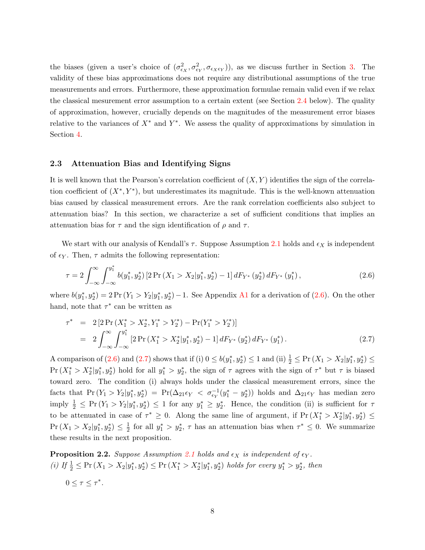the biases (given a user's choice of  $(\sigma_{\epsilon_X}^2, \sigma_{\epsilon_Y}^2, \sigma_{\epsilon_X \epsilon_Y})$ ), as we discuss further in Section [3.](#page-11-0) The validity of these bias approximations does not require any distributional assumptions of the true measurements and errors. Furthermore, these approximation formulae remain valid even if we relax the classical mesurement error assumption to a certain extent (see Section [2.4](#page-10-0) below). The quality of approximation, however, crucially depends on the magnitudes of the measurement error biases relative to the variances of  $X^*$  and  $Y^*$ . We assess the quality of approximations by simulation in Section [4.](#page-13-0)

#### <span id="page-8-0"></span>2.3 Attenuation Bias and Identifying Signs

It is well known that the Pearson's correlation coefficient of  $(X, Y)$  identifies the sign of the correlation coefficient of  $(X^*, Y^*)$ , but underestimates its magnitude. This is the well-known attenuation bias caused by classical measurement errors. Are the rank correlation coefficients also subject to attenuation bias? In this section, we characterize a set of sufficient conditions that implies an attenuation bias for  $\tau$  and the sign identification of  $\rho$  and  $\tau$ .

We start with our analysis of Kendall's  $\tau$ . Suppose Assumption [2.1](#page-5-1) holds and  $\epsilon_X$  is independent of  $\epsilon_Y$ . Then,  $\tau$  admits the following representation:

<span id="page-8-1"></span>
$$
\tau = 2 \int_{-\infty}^{\infty} \int_{-\infty}^{y_1^*} b(y_1^*, y_2^*) \left[ 2 \Pr\left(X_1 > X_2 | y_1^*, y_2^*\right) - 1 \right] dF_{Y^*}\left(y_2^*\right) dF_{Y^*}\left(y_1^*\right),\tag{2.6}
$$

where  $b(y_1^*, y_2^*) = 2 \Pr(Y_1 > Y_2 | y_1^*, y_2^*) - 1$ . See Appendix [A1](#page-34-1) for a derivation of [\(2.6\)](#page-8-1). On the other hand, note that  $\tau^*$  can be written as

<span id="page-8-2"></span>
$$
\tau^* = 2[2\Pr(X_1^* > X_2^*, Y_1^* > Y_2^*) - \Pr(Y_1^* > Y_2^*)]
$$
  
= 
$$
2\int_{-\infty}^{\infty} \int_{-\infty}^{y_1^*} [2\Pr(X_1^* > X_2^* | y_1^*, y_2^*) - 1] dF_{Y^*}(y_2^*) dF_{Y^*}(y_1^*).
$$
 (2.7)

A comparison of [\(2.6\)](#page-8-1) and [\(2.7\)](#page-8-2) shows that if (i)  $0 \le b(y_1^*, y_2^*) \le 1$  and (ii)  $\frac{1}{2} \le Pr(X_1 > X_2 | y_1^*, y_2^*) \le$  $Pr(X_1^* > X_2^* | y_1^*, y_2^*)$  hold for all  $y_1^* > y_2^*$ , the sign of  $\tau$  agrees with the sign of  $\tau^*$  but  $\tau$  is biased toward zero. The condition (i) always holds under the classical measurement errors, since the facts that  $Pr(Y_1 > Y_2 | y_1^*, y_2^*) = Pr(\Delta_{21} \epsilon_Y < \sigma_{\epsilon_Y}^{-1} (y_1^* - y_2^*))$  holds and  $\Delta_{21} \epsilon_Y$  has median zero imply  $\frac{1}{2} \leq \Pr(Y_1 > Y_2 | y_1^*, y_2^*) \leq 1$  for any  $y_1^* \geq y_2^*$ . Hence, the condition (ii) is sufficient for  $\tau$ to be attenuated in case of  $\tau^* \geq 0$ . Along the same line of argument, if  $Pr(X_1^* > X_2^* | y_1^*, y_2^*) \leq$  $Pr(X_1 > X_2 | y_1^*, y_2^*) \leq \frac{1}{2}$  $\frac{1}{2}$  for all  $y_1^* > y_2^*$ ,  $\tau$  has an attenuation bias when  $\tau^* \leq 0$ . We summarize these results in the next proposition.

<span id="page-8-3"></span>**Proposition 2.2.** Suppose Assumption [2.1](#page-5-1) holds and  $\epsilon_X$  is independent of  $\epsilon_Y$ . (i) If  $\frac{1}{2} \leq \Pr(X_1 > X_2 | y_1^*, y_2^*) \leq \Pr(X_1^* > X_2^* | y_1^*, y_2^*)$  holds for every  $y_1^* > y_2^*$ , then  $0 \leq \tau \leq \tau^*$ .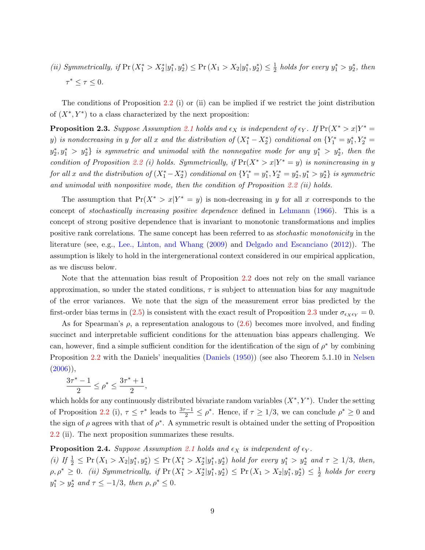(ii) Symmetrically, if  $Pr(X_1^* > X_2^* | y_1^*, y_2^*) \leq Pr(X_1 > X_2 | y_1^*, y_2^*) \leq \frac{1}{2}$  $\frac{1}{2}$  holds for every  $y_1^* > y_2^*$ , then  $\tau^* \leq \tau \leq 0.$ 

The conditions of Proposition [2.2](#page-8-3) (i) or (ii) can be implied if we restrict the joint distribution of  $(X^*, Y^*)$  to a class characterized by the next proposition:

<span id="page-9-0"></span>**Proposition 2.3.** Suppose Assumption [2.1](#page-5-1) holds and  $\epsilon_X$  is independent of  $\epsilon_Y$ . If  $Pr(X^* > x | Y^* =$ y) is nondecreasing in y for all x and the distribution of  $(X_1^* - X_2^*)$  conditional on  $\{Y_1^* = y_1^*, Y_2^* =$  $y_2^*, y_1^* > y_2^*$  is symmetric and unimodal with the nonnegative mode for any  $y_1^* > y_2^*$ , then the condition of Proposition [2.2](#page-8-3) (i) holds. Symmetrically, if  $Pr(X^* > x | Y^* = y)$  is nonincreasing in y for all x and the distribution of  $(X_1^* - X_2^*)$  conditional on  $\{Y_1^* = y_1^*, Y_2^* = y_2^*, y_1^* > y_2^*\}$  is symmetric and unimodal with nonpositive mode, then the condition of Proposition [2.2](#page-8-3) (ii) holds.

The assumption that  $Pr(X^* > x | Y^* = y)$  is non-decreasing in y for all x corresponds to the concept of stochastically increasing positive dependence defined in [Lehmann](#page-32-6) [\(1966\)](#page-32-6). This is a concept of strong positive dependence that is invariant to monotonic transformations and implies positive rank correlations. The same concept has been referred to as stochastic monotonicity in the literature (see, e.g., [Lee., Linton, and Whang](#page-32-7) [\(2009\)](#page-32-7) and [Delgado and Escanciano](#page-31-8) [\(2012\)](#page-31-8)). The assumption is likely to hold in the intergenerational context considered in our empirical application, as we discuss below.

Note that the attenuation bias result of Proposition [2.2](#page-8-3) does not rely on the small variance approximation, so under the stated conditions,  $\tau$  is subject to attenuation bias for any magnitude of the error variances. We note that the sign of the measurement error bias predicted by the first-order bias terms in [\(2.5\)](#page-7-0) is consistent with the exact result of Proposition [2.3](#page-9-0) under  $\sigma_{\epsilon_X \epsilon_Y} = 0$ .

As for Spearman's  $\rho$ , a representation analogous to  $(2.6)$  becomes more involved, and finding succinct and interpretable sufficient conditions for the attenuation bias appears challenging. We can, however, find a simple sufficient condition for the identification of the sign of  $\rho^*$  by combining Proposition [2.2](#page-8-3) with the Daniels' inequalities [\(Daniels](#page-31-9) [\(1950\)](#page-31-9)) (see also Theorem 5.1.10 in [Nelsen](#page-32-5)  $(2006)$ ,

$$
\frac{3\tau^*-1}{2}\leq \rho^*\leq \frac{3\tau^*+1}{2},
$$

which holds for any continuously distributed bivariate random variables  $(X^*, Y^*)$ . Under the setting of Proposition [2.2](#page-8-3) (i),  $\tau \leq \tau^*$  leads to  $\frac{3\tau-1}{2} \leq \rho^*$ . Hence, if  $\tau \geq 1/3$ , we can conclude  $\rho^* \geq 0$  and the sign of  $\rho$  agrees with that of  $\rho^*$ . A symmetric result is obtained under the setting of Proposition [2.2](#page-8-3) (ii). The next proposition summarizes these results.

#### **Proposition 2.4.** Suppose Assumption [2.1](#page-5-1) holds and  $\epsilon_X$  is independent of  $\epsilon_Y$ .

(i) If  $\frac{1}{2} \leq \Pr(X_1 > X_2 | y_1^*, y_2^*) \leq \Pr(X_1^* > X_2^* | y_1^*, y_2^*)$  hold for every  $y_1^* > y_2^*$  and  $\tau \geq 1/3$ , then,  $\rho, \rho^* \geq 0.$  (ii) Symmetrically, if  $\Pr(X_1^* > X_2^* | y_1^*, y_2^*) \leq \Pr(X_1 > X_2 | y_1^*, y_2^*) \leq \frac{1}{2}$  $\frac{1}{2}$  holds for every  $y_1^* > y_2^*$  and  $\tau \le -1/3$ , then  $\rho, \rho^* \le 0$ .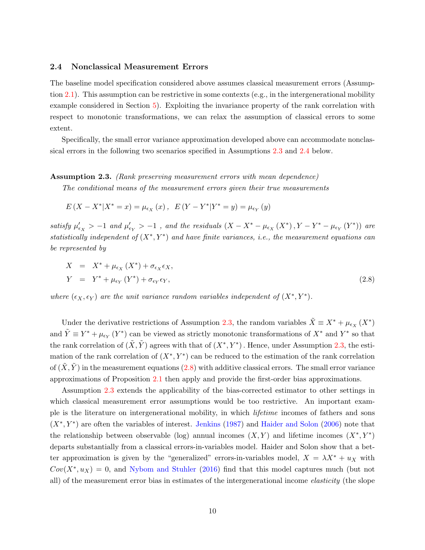#### <span id="page-10-0"></span>2.4 Nonclassical Measurement Errors

The baseline model specification considered above assumes classical measurement errors (Assumption [2.1\)](#page-5-1). This assumption can be restrictive in some contexts (e.g., in the intergenerational mobility example considered in Section [5\)](#page-22-0). Exploiting the invariance property of the rank correlation with respect to monotonic transformations, we can relax the assumption of classical errors to some extent.

Specifically, the small error variance approximation developed above can accommodate nonclassical errors in the following two scenarios specified in Assumptions [2.3](#page-10-1) and [2.4](#page-11-1) below.

#### <span id="page-10-1"></span>Assumption 2.3. (Rank preserving measurement errors with mean dependence)

The conditional means of the measurement errors given their true measurements

$$
E(X - X^*|X^* = x) = \mu_{\epsilon_X}(x), \ \ E(Y - Y^*|Y^* = y) = \mu_{\epsilon_Y}(y)
$$

satisfy  $\mu'_{\epsilon_X} > -1$  and  $\mu'_{\epsilon_Y} > -1$ , and the residuals  $(X - X^* - \mu_{\epsilon_X}(X^*), Y - Y^* - \mu_{\epsilon_Y}(Y^*))$  are statistically independent of  $(X^*, Y^*)$  and have finite variances, i.e., the measurement equations can be represented by

<span id="page-10-2"></span>
$$
X = X^* + \mu_{\epsilon_X}(X^*) + \sigma_{\epsilon_X} \epsilon_X,
$$
  
\n
$$
Y = Y^* + \mu_{\epsilon_Y}(Y^*) + \sigma_{\epsilon_Y} \epsilon_Y,
$$
\n(2.8)

where  $(\epsilon_X, \epsilon_Y)$  are the unit variance random variables independent of  $(X^*, Y^*)$ .

Under the derivative restrictions of Assumption [2.3,](#page-10-1) the random variables  $\tilde{X} \equiv X^* + \mu_{\epsilon_X}(X^*)$ and  $\tilde{Y} \equiv Y^* + \mu_{\epsilon_Y}(Y^*)$  can be viewed as strictly monotonic transformations of  $X^*$  and  $Y^*$  so that the rank correlation of  $(\tilde{X}, \tilde{Y})$  agrees with that of  $(X^*, Y^*)$ . Hence, under Assumption [2.3,](#page-10-1) the estimation of the rank correlation of  $(X^*, Y^*)$  can be reduced to the estimation of the rank correlation of  $(\tilde{X}, \tilde{Y})$  in the measurement equations [\(2.8\)](#page-10-2) with additive classical errors. The small error variance approximations of Proposition [2.1](#page-7-1) then apply and provide the first-order bias approximations.

Assumption [2.3](#page-10-1) extends the applicability of the bias-corrected estimator to other settings in which classical measurement error assumptions would be too restrictive. An important example is the literature on intergenerational mobility, in which lifetime incomes of fathers and sons  $(X^*, Y^*)$  are often the variables of interest. [Jenkins](#page-32-8) [\(1987\)](#page-32-8) and [Haider and Solon](#page-32-9) [\(2006\)](#page-32-9) note that the relationship between observable (log) annual incomes  $(X, Y)$  and lifetime incomes  $(X^*, Y^*)$ departs substantially from a classical errors-in-variables model. Haider and Solon show that a better approximation is given by the "generalized" errors-in-variables model,  $X = \lambda X^* + u_X$  with  $Cov(X^*, u_X) = 0$ , and [Nybom and Stuhler](#page-33-3) [\(2016\)](#page-33-3) find that this model captures much (but not all) of the measurement error bias in estimates of the intergenerational income elasticity (the slope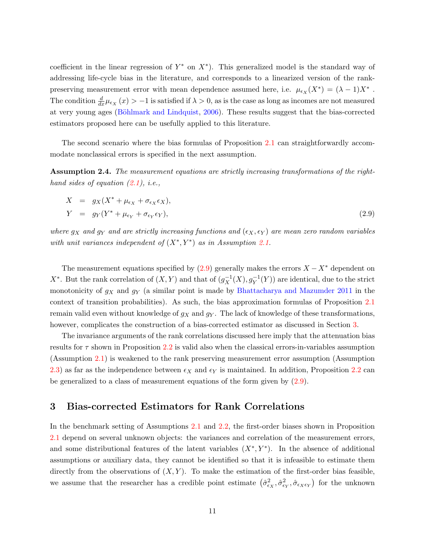coefficient in the linear regression of  $Y^*$  on  $X^*$ ). This generalized model is the standard way of addressing life-cycle bias in the literature, and corresponds to a linearized version of the rankpreserving measurement error with mean dependence assumed here, i.e.  $\mu_{\epsilon_X}(X^*) = (\lambda - 1)X^*$ . The condition  $\frac{d}{dx}\mu_{\epsilon_X}(x) > -1$  is satisfied if  $\lambda > 0$ , as is the case as long as incomes are not measured at very young ages (Böhlmark and Lindquist, [2006\)](#page-30-7). These results suggest that the bias-corrected estimators proposed here can be usefully applied to this literature.

The second scenario where the bias formulas of Proposition [2.1](#page-7-1) can straightforwardly accommodate nonclassical errors is specified in the next assumption.

<span id="page-11-1"></span>Assumption 2.4. The measurement equations are strictly increasing transformations of the righthand sides of equation  $(2.1)$ , i.e.,

<span id="page-11-2"></span>
$$
X = g_X(X^* + \mu_{\epsilon_X} + \sigma_{\epsilon_X} \epsilon_X),
$$
  
\n
$$
Y = g_Y(Y^* + \mu_{\epsilon_Y} + \sigma_{\epsilon_Y} \epsilon_Y),
$$
\n(2.9)

where  $g_X$  and  $g_Y$  and are strictly increasing functions and  $(\epsilon_X, \epsilon_Y)$  are mean zero random variables with unit variances independent of  $(X^*, Y^*)$  as in Assumption [2.1.](#page-5-1)

The measurement equations specified by  $(2.9)$  generally makes the errors  $X - X^*$  dependent on  $X^*$ . But the rank correlation of  $(X, Y)$  and that of  $(g_X^{-1}(X), g_Y^{-1}(Y))$  are identical, due to the strict monotonicity of  $g_X$  and  $g_Y$  (a similar point is made by [Bhattacharya and Mazumder](#page-30-1) [2011](#page-30-1) in the context of transition probabilities). As such, the bias approximation formulas of Proposition [2.1](#page-7-1) remain valid even without knowledge of  $g_X$  and  $g_Y$ . The lack of knowledge of these transformations, however, complicates the construction of a bias-corrected estimator as discussed in Section [3.](#page-11-0)

The invariance arguments of the rank correlations discussed here imply that the attenuation bias results for  $\tau$  shown in Proposition [2.2](#page-8-3) is valid also when the classical errors-in-variables assumption (Assumption [2.1\)](#page-5-1) is weakened to the rank preserving measurement error assumption (Assumption [2.3\)](#page-10-1) as far as the independence between  $\epsilon_X$  and  $\epsilon_Y$  is maintained. In addition, Proposition [2.2](#page-8-3) can be generalized to a class of measurement equations of the form given by [\(2.9\)](#page-11-2).

#### <span id="page-11-0"></span>3 Bias-corrected Estimators for Rank Correlations

In the benchmark setting of Assumptions [2.1](#page-5-1) and [2.2,](#page-6-0) the first-order biases shown in Proposition [2.1](#page-7-1) depend on several unknown objects: the variances and correlation of the measurement errors, and some distributional features of the latent variables  $(X^*, Y^*)$ . In the absence of additional assumptions or auxiliary data, they cannot be identified so that it is infeasible to estimate them directly from the observations of  $(X, Y)$ . To make the estimation of the first-order bias feasible, we assume that the researcher has a credible point estimate  $(\hat{\sigma}_{\epsilon_X}^2, \hat{\sigma}_{\epsilon_Y}^2, \hat{\sigma}_{\epsilon_X \epsilon_Y})$  for the unknown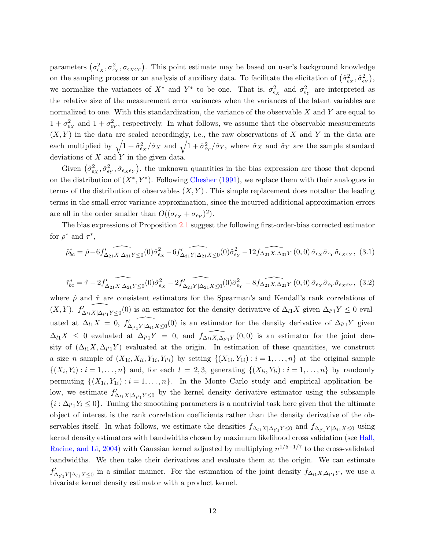parameters  $(\sigma_{\epsilon_X}^2, \sigma_{\epsilon_Y}^2, \sigma_{\epsilon_X \epsilon_Y})$ . This point estimate may be based on user's background knowledge on the sampling process or an analysis of auxiliary data. To facilitate the elicitation of  $(\hat{\sigma}_{\epsilon_X}^2, \hat{\sigma}_{\epsilon_Y}^2)$ , we normalize the variances of  $X^*$  and  $Y^*$  to be one. That is,  $\sigma_{\epsilon_X}^2$  and  $\sigma_{\epsilon_Y}^2$  are interpreted as the relative size of the measurement error variances when the variances of the latent variables are normalized to one. With this standardization, the variance of the observable  $X$  and  $Y$  are equal to  $1 + \sigma_{\epsilon_X}^2$  and  $1 + \sigma_{\epsilon_Y}^2$ , respectively. In what follows, we assume that the observable measurements  $(X, Y)$  in the data are scaled accordingly, i.e., the raw observations of X and Y in the data are each multiplied by  $\sqrt{1+\hat{\sigma}_{\epsilon_X}^2}/\hat{\sigma}_X$  and  $\sqrt{1+\hat{\sigma}_{\epsilon_Y}^2}/\hat{\sigma}_Y$ , where  $\hat{\sigma}_X$  and  $\hat{\sigma}_Y$  are the sample standard deviations of  $X$  and  $Y$  in the given data.

Given  $(\hat{\sigma}_{\epsilon_X}^2, \hat{\sigma}_{\epsilon_Y}, \hat{\sigma}_{\epsilon_X \epsilon_Y})$ , the unknown quantities in the bias expression are those that depend on the distribution of  $(X^*, Y^*)$ . Following [Chesher](#page-31-4) [\(1991\)](#page-31-4), we replace them with their analogues in terms of the distribution of observables  $(X, Y)$ . This simple replacement does notalter the leading terms in the small error variance approximation, since the incurred additional approximation errors are all in the order smaller than  $O((\sigma_{\epsilon_X} + \sigma_{\epsilon_Y})^2)$ .

The bias expressions of Proposition [2.1](#page-7-1) suggest the following first-order-bias corrected estimator for  $\rho^*$  and  $\tau^*$ ,

<span id="page-12-1"></span><span id="page-12-0"></span>
$$
\hat{\rho}_{bc}^* = \hat{\rho} - 6f'_{\Delta_{21}X|\Delta_{31}Y} \widehat{\sum_{(0)} (\hat{\sigma}_{\epsilon_X}^2 - 6f'_{\Delta_{31}Y|\Delta_{21}X} \widehat{\sum_{(0)} (\hat{\sigma}_{\epsilon_Y}^2 - 12f_{\Delta_{21}X,\Delta_{31}Y}(0,0)) \hat{\sigma}_{\epsilon_X} \hat{\sigma}_{\epsilon_Y} \hat{\sigma}_{\epsilon_Y \epsilon_Y}},
$$
(3.1)

$$
\hat{\tau}_{bc}^* = \hat{\tau} - 2f'_{\Delta_{21}X|\Delta_{21}Y\leq 0}(0)\hat{\sigma}_{\epsilon_X}^2 - 2f'_{\Delta_{21}Y|\Delta_{21}X\leq 0}(0)\hat{\sigma}_{\epsilon_Y}^2 - 8f_{\Delta_{21}X,\Delta_{21}Y}(0,0)\hat{\sigma}_{\epsilon_X}\hat{\sigma}_{\epsilon_Y}\hat{\sigma}_{\epsilon_X\epsilon_Y},
$$
(3.2)

where  $\hat{\rho}$  and  $\hat{\tau}$  are consistent estimators for the Spearman's and Kendall's rank correlations of  $(X,Y)$ .  $f'_{\Delta_{l1}X|\Delta_{l'1}Y\leq 0}(0)$  is an estimator for the density derivative of  $\Delta_{l1}X$  given  $\Delta_{l'1}Y\leq 0$  evaluated at  $\Delta_{l1}X = 0, f'_{\Delta}$  $\widehat{\Lambda_{l'1}Y|\Delta_{l1}X}\leq0}$  is an estimator for the density derivative of  $\Delta_{l'1}Y$  given  $\Delta_{l1}X \leq 0$  evaluated at  $\Delta_{l'1}Y = 0$ , and  $\widehat{f_{\Delta_{l1}X,\Delta_{l'1}Y}}(0,0)$  is an estimator for the joint density of  $(\Delta_{l1}X, \Delta_{l'1}Y)$  evaluated at the origin. In estimation of these quantities, we construct a size *n* sample of  $(X_{1i}, X_{li}, Y_{1i}, Y_{l'i})$  by setting  $\{(X_{1i}, Y_{1i}) : i = 1, \ldots, n\}$  at the original sample  $\{(X_i,Y_i): i=1,\ldots,n\}$  and, for each  $l=2,3$ , generating  $\{(X_{li},Y_{li}): i=1,\ldots,n\}$  by randomly permuting  $\{(X_{1i}, Y_{1i}) : i = 1, \ldots, n\}$ . In the Monte Carlo study and empirical application below, we estimate  $f'_{\Delta_{l_1}X|\Delta_{l_1}Y\leq 0}$  by the kernel density derivative estimator using the subsample  $\{i : \Delta_{l'}\_Y_i \leq 0\}$ . Tuning the smoothing parameters is a nontrivial task here given that the ultimate object of interest is the rank correlation coefficients rather than the density derivative of the observables itself. In what follows, we estimate the densities  $f_{\Delta_{l1}X|\Delta_{l'}Y} \leq 0$  and  $f_{\Delta_{l'}Y|\Delta_{l1}X} \leq 0$  using kernel density estimators with bandwidths chosen by maximum likelihood cross validation (see [Hall,](#page-32-10) [Racine, and Li,](#page-32-10) [2004\)](#page-32-10) with Gaussian kernel adjusted by multiplying  $n^{1/5-1/7}$  to the cross-validated bandwidths. We then take their derivatives and evaluate them at the origin. We can estimate  $f'_{\Delta_{l'}Y|\Delta_{l1}X\leq 0}$  in a similar manner. For the estimation of the joint density  $f_{\Delta_{l1}X,\Delta_{l'1}Y}$ , we use a bivariate kernel density estimator with a product kernel.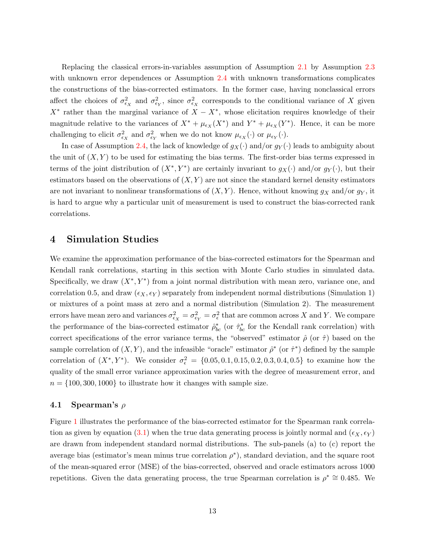Replacing the classical errors-in-variables assumption of Assumption [2.1](#page-5-1) by Assumption [2.3](#page-10-1) with unknown error dependences or Assumption [2.4](#page-11-1) with unknown transformations complicates the constructions of the bias-corrected estimators. In the former case, having nonclassical errors affect the choices of  $\sigma_{\epsilon_X}^2$  and  $\sigma_{\epsilon_Y}^2$ , since  $\sigma_{\epsilon_X}^2$  corresponds to the conditional variance of X given  $X^*$  rather than the marginal variance of  $X - X^*$ , whose elicitation requires knowledge of their magnitude relative to the variances of  $X^* + \mu_{\epsilon_X}(X^*)$  and  $Y^* + \mu_{\epsilon_X}(Y^*)$ . Hence, it can be more challenging to elicit  $\sigma_{\epsilon_X}^2$  and  $\sigma_{\epsilon_Y}^2$  when we do not know  $\mu_{\epsilon_X}(\cdot)$  or  $\mu_{\epsilon_Y}(\cdot)$ .

In case of Assumption [2.4,](#page-11-1) the lack of knowledge of  $g_X(\cdot)$  and/or  $g_Y(\cdot)$  leads to ambiguity about the unit of  $(X, Y)$  to be used for estimating the bias terms. The first-order bias terms expressed in terms of the joint distribution of  $(X^*, Y^*)$  are certainly invariant to  $g_X(\cdot)$  and/or  $g_Y(\cdot)$ , but their estimators based on the observations of  $(X, Y)$  are not since the standard kernel density estimators are not invariant to nonlinear transformations of  $(X, Y)$ . Hence, without knowing  $g_X$  and/or  $g_Y$ , it is hard to argue why a particular unit of measurement is used to construct the bias-corrected rank correlations.

#### <span id="page-13-0"></span>4 Simulation Studies

We examine the approximation performance of the bias-corrected estimators for the Spearman and Kendall rank correlations, starting in this section with Monte Carlo studies in simulated data. Specifically, we draw  $(X^*, Y^*)$  from a joint normal distribution with mean zero, variance one, and correlation 0.5, and draw  $(\epsilon_X, \epsilon_Y)$  separately from independent normal distributions (Simulation 1) or mixtures of a point mass at zero and a normal distribution (Simulation 2). The measurement errors have mean zero and variances  $\sigma_{\epsilon_X}^2 = \sigma_{\epsilon_Y}^2 = \sigma_{\epsilon}^2$  that are common across X and Y. We compare the performance of the bias-corrected estimator  $\hat{\rho}_{bc}^*$  (or  $\hat{\tau}_{bc}^*$  for the Kendall rank correlation) with correct specifications of the error variance terms, the "observed" estimator  $\hat{\rho}$  (or  $\hat{\tau}$ ) based on the sample correlation of  $(X, Y)$ , and the infeasible "oracle" estimator  $\hat{\rho}^*$  (or  $\hat{\tau}^*$ ) defined by the sample correlation of  $(X^*, Y^*)$ . We consider  $\sigma_{\epsilon}^2 = \{0.05, 0.1, 0.15, 0.2, 0.3, 0.4, 0.5\}$  to examine how the quality of the small error variance approximation varies with the degree of measurement error, and  $n = \{100, 300, 1000\}$  to illustrate how it changes with sample size.

#### 4.1 Spearman's  $\rho$

Figure [1](#page-15-0) illustrates the performance of the bias-corrected estimator for the Spearman rank correla-tion as given by equation [\(3.1\)](#page-12-0) when the true data generating process is jointly normal and  $(\epsilon_X, \epsilon_Y)$ are drawn from independent standard normal distributions. The sub-panels (a) to (c) report the average bias (estimator's mean minus true correlation  $\rho^*$ ), standard deviation, and the square root of the mean-squared error (MSE) of the bias-corrected, observed and oracle estimators across 1000 repetitions. Given the data generating process, the true Spearman correlation is  $\rho^* \cong 0.485$ . We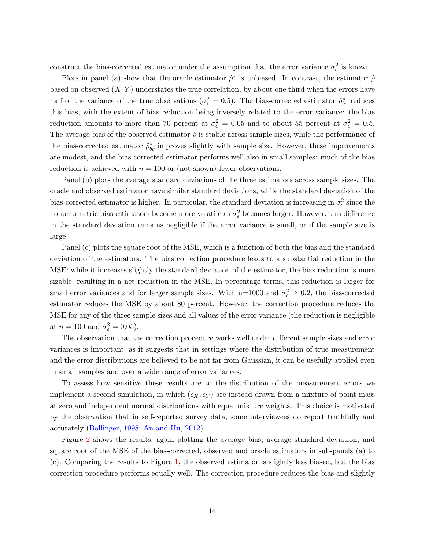construct the bias-corrected estimator under the assumption that the error variance  $\sigma_{\epsilon}^2$  is known.

Plots in panel (a) show that the oracle estimator  $\hat{\rho}^*$  is unbiased. In contrast, the estimator  $\hat{\rho}$ based on observed  $(X, Y)$  understates the true correlation, by about one third when the errors have half of the variance of the true observations ( $\sigma_{\epsilon}^2 = 0.5$ ). The bias-corrected estimator  $\hat{\rho}_{bc}^*$  reduces this bias, with the extent of bias reduction being inversely related to the error variance: the bias reduction amounts to more than 70 percent at  $\sigma_{\epsilon}^2 = 0.05$  and to about 55 percent at  $\sigma_{\epsilon}^2 = 0.5$ . The average bias of the observed estimator  $\hat{\rho}$  is stable across sample sizes, while the performance of the bias-corrected estimator  $\hat{\rho}_{bc}^{*}$  improves slightly with sample size. However, these improvements are modest, and the bias-corrected estimator performs well also in small samples: much of the bias reduction is achieved with  $n = 100$  or (not shown) fewer observations.

Panel (b) plots the average standard deviations of the three estimators across sample sizes. The oracle and observed estimator have similar standard deviations, while the standard deviation of the bias-corrected estimator is higher. In particular, the standard deviation is increasing in  $\sigma_{\epsilon}^2$  since the nonparametric bias estimators become more volatile as  $\sigma_{\epsilon}^2$  becomes larger. However, this difference in the standard deviation remains negligible if the error variance is small, or if the sample size is large.

Panel (c) plots the square root of the MSE, which is a function of both the bias and the standard deviation of the estimators. The bias correction procedure leads to a substantial reduction in the MSE: while it increases slightly the standard deviation of the estimator, the bias reduction is more sizable, resulting in a net reduction in the MSE. In percentage terms, this reduction is larger for small error variances and for larger sample sizes. With n=1000 and  $\sigma_{\epsilon}^2 \geq 0.2$ , the bias-corrected estimator reduces the MSE by about 80 percent. However, the correction procedure reduces the MSE for any of the three sample sizes and all values of the error variance (the reduction is negligible at  $n = 100$  and  $\sigma_{\epsilon}^2 = 0.05$ ).

The observation that the correction procedure works well under different sample sizes and error variances is important, as it suggests that in settings where the distribution of true measurement and the error distributions are believed to be not far from Gaussian, it can be usefully applied even in small samples and over a wide range of error variances.

To assess how sensitive these results are to the distribution of the measurement errors we implement a second simulation, in which  $(\epsilon_X, \epsilon_Y)$  are instead drawn from a mixture of point mass at zero and independent normal distributions with equal mixture weights. This choice is motivated by the observation that in self-reported survey data, some interviewees do report truthfully and accurately [\(Bollinger,](#page-30-8) [1998;](#page-30-8) [An and Hu,](#page-30-9) [2012\)](#page-30-9).

Figure [2](#page-16-0) shows the results, again plotting the average bias, average standard deviation, and square root of the MSE of the bias-corrected, observed and oracle estimators in sub-panels (a) to (c). Comparing the results to Figure [1,](#page-15-0) the observed estimator is slightly less biased, but the bias correction procedure performs equally well. The correction procedure reduces the bias and slightly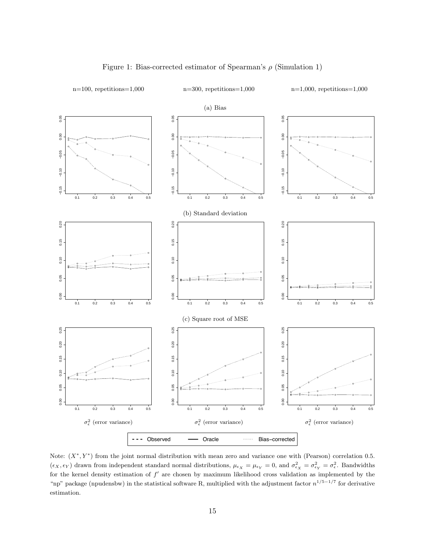<span id="page-15-0"></span>

#### Figure 1: Bias-corrected estimator of Spearman's  $\rho$  (Simulation 1)

−0.00<br>0.000 0.01<br>0.00 for the kernel density estimation of  $f'$  are chosen by maximum likelihood cross validation as implemented by the "np" package (npudensbw) in the statistical software R, multiplied with the adjustment factor  $n^{1/5-1/7}$  for derivative Note:  $(X^*, Y^*)$  from the joint normal distribution with mean zero and variance one with (Pearson) correlation 0.5.  $(\epsilon_X, \epsilon_Y)$  drawn from independent standard normal distributions,  $\mu_{\epsilon_X} = \mu_{\epsilon_Y} = 0$ , and  $\sigma_{\epsilon_X}^2 = \sigma_{\epsilon_Y}^2 = \sigma_{\epsilon}^2$ . Bandwidths estimation.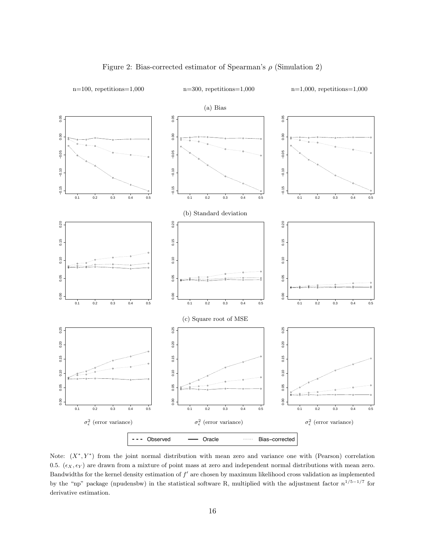<span id="page-16-0"></span>

#### Figure 2: Bias-corrected estimator of Spearman's  $\rho$  (Simulation 2)

−<br>−0.01<br>ag<br>∶io Bandwidths for the kernel density estimation of  $f'$  are chosen by maximum likelihood cross validation as implemented by the "np" package (npudensbw) in the statistical software R, multiplied with the adjustment factor  $n^{1/5-1/7}$  for Note:  $(X^*, Y^*)$  from the joint normal distribution with mean zero and variance one with (Pearson) correlation 0.5.  $(\epsilon_X, \epsilon_Y)$  are drawn from a mixture of point mass at zero and independent normal distributions with mean zero. derivative estimation.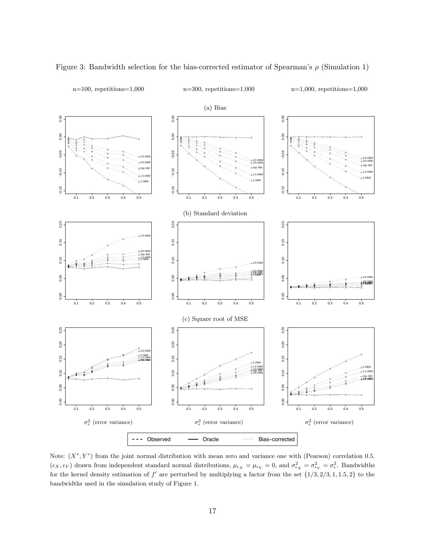

<span id="page-17-0"></span>Figure 3: Bandwidth selection for the bias-corrected estimator of Spearman's  $\rho$  (Simulation 1)

−0.000<br>0.05 0.01<br>0.01 for the kernel density estimation of  $f'$  are perturbed by multiplying a factor from the set  $\{1/3, 2/3, 1, 1.5, 2\}$  to the bandwidths used in the simulation study of Figure 1. Note:  $(X^*, Y^*)$  from the joint normal distribution with mean zero and variance one with (Pearson) correlation 0.5.  $(\epsilon_X, \epsilon_Y)$  drawn from independent standard normal distributions,  $\mu_{\epsilon_X} = \mu_{\epsilon_Y} = 0$ , and  $\sigma_{\epsilon_X}^2 = \sigma_{\epsilon_Y}^2 = \sigma_{\epsilon}^2$ . Bandwidths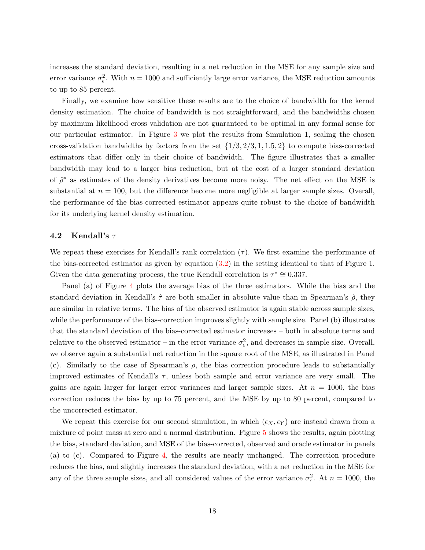increases the standard deviation, resulting in a net reduction in the MSE for any sample size and error variance  $\sigma_{\epsilon}^2$ . With  $n = 1000$  and sufficiently large error variance, the MSE reduction amounts to up to 85 percent.

Finally, we examine how sensitive these results are to the choice of bandwidth for the kernel density estimation. The choice of bandwidth is not straightforward, and the bandwidths chosen by maximum likelihood cross validation are not guaranteed to be optimal in any formal sense for our particular estimator. In Figure [3](#page-17-0) we plot the results from Simulation 1, scaling the chosen cross-validation bandwidths by factors from the set  $\{1/3, 2/3, 1, 1.5, 2\}$  to compute bias-corrected estimators that differ only in their choice of bandwidth. The figure illustrates that a smaller bandwidth may lead to a larger bias reduction, but at the cost of a larger standard deviation of  $\hat{\rho}^*$  as estimates of the density derivatives become more noisy. The net effect on the MSE is substantial at  $n = 100$ , but the difference become more negligible at larger sample sizes. Overall, the performance of the bias-corrected estimator appears quite robust to the choice of bandwidth for its underlying kernel density estimation.

#### 4.2 Kendall's  $\tau$

We repeat these exercises for Kendall's rank correlation  $(\tau)$ . We first examine the performance of the bias-corrected estimator as given by equation [\(3.2\)](#page-12-1) in the setting identical to that of Figure 1. Given the data generating process, the true Kendall correlation is  $\tau^* \cong 0.337$ .

Panel (a) of Figure [4](#page-19-0) plots the average bias of the three estimators. While the bias and the standard deviation in Kendall's  $\hat{\tau}$  are both smaller in absolute value than in Spearman's  $\hat{\rho}$ , they are similar in relative terms. The bias of the observed estimator is again stable across sample sizes, while the performance of the bias-correction improves slightly with sample size. Panel (b) illustrates that the standard deviation of the bias-corrected estimator increases – both in absolute terms and relative to the observed estimator – in the error variance  $\sigma_{\epsilon}^2$ , and decreases in sample size. Overall, we observe again a substantial net reduction in the square root of the MSE, as illustrated in Panel (c). Similarly to the case of Spearman's  $\rho$ , the bias correction procedure leads to substantially improved estimates of Kendall's  $\tau$ , unless both sample and error variance are very small. The gains are again larger for larger error variances and larger sample sizes. At  $n = 1000$ , the bias correction reduces the bias by up to 75 percent, and the MSE by up to 80 percent, compared to the uncorrected estimator.

We repeat this exercise for our second simulation, in which  $(\epsilon_X, \epsilon_Y)$  are instead drawn from a mixture of point mass at zero and a normal distribution. Figure [5](#page-20-0) shows the results, again plotting the bias, standard deviation, and MSE of the bias-corrected, observed and oracle estimator in panels (a) to (c). Compared to Figure [4,](#page-19-0) the results are nearly unchanged. The correction procedure reduces the bias, and slightly increases the standard deviation, with a net reduction in the MSE for any of the three sample sizes, and all considered values of the error variance  $\sigma_{\epsilon}^2$ . At  $n = 1000$ , the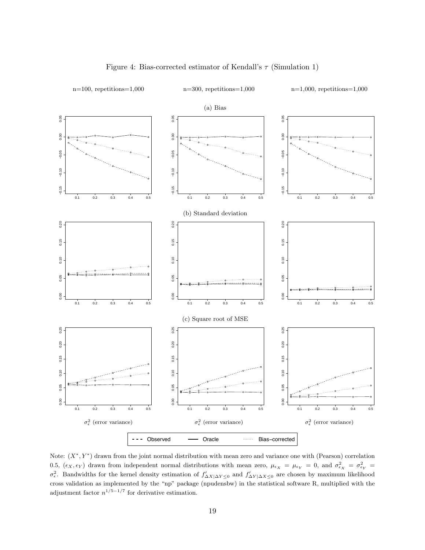<span id="page-19-0"></span>

#### Figure 4: Bias-corrected estimator of Kendall's  $\tau$  (Simulation 1)

−avn<br>fon<br>s\_i<br>n  $\sigma_{\epsilon}^2$ . Bandwidths for the kernel density estimation of  $f'_{\Delta X|\Delta Y\leq 0}$  and  $f'_{\Delta Y|\Delta X\leq 0}$  are chosen by maximum likelihood cross validation as implemented by the "np" package (npudensbw) in the statistical software R, multiplied with the adjustment factor  $n^{1/5-1/7}$  for derivative estimation. Note:  $(X^*, Y^*)$  drawn from the joint normal distribution with mean zero and variance one with (Pearson) correlation 0.5,  $(\epsilon_X, \epsilon_Y)$  drawn from independent normal distributions with mean zero,  $\mu_{\epsilon_X} = \mu_{\epsilon_Y} = 0$ , and  $\sigma_{\epsilon_X}^2 = \sigma_{\epsilon_Y}^2 =$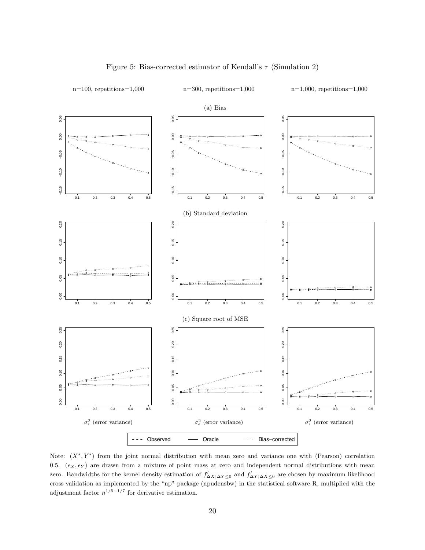<span id="page-20-0"></span>

#### Figure 5: Bias-corrected estimator of Kendall's  $\tau$  (Simulation 2)

 $\frac{1}{\pi}$  or  $\frac{1}{\pi}$  or  $\frac{1}{\pi}$ adjustment factor  $n^{1/5-1/7}$  for derivative estimation. zero. Bandwidths for the kernel density estimation of  $f'_{\Delta X|\Delta Y\leq 0}$  and  $f'_{\Delta Y|\Delta X\leq 0}$  are chosen by maximum likelihood cross validation as implemented by the "np" package (npudensbw) in the statistical software R, multiplied with the Note:  $(X^*, Y^*)$  from the joint normal distribution with mean zero and variance one with (Pearson) correlation 0.5.  $(\epsilon_X, \epsilon_Y)$  are drawn from a mixture of point mass at zero and independent normal distributions with mean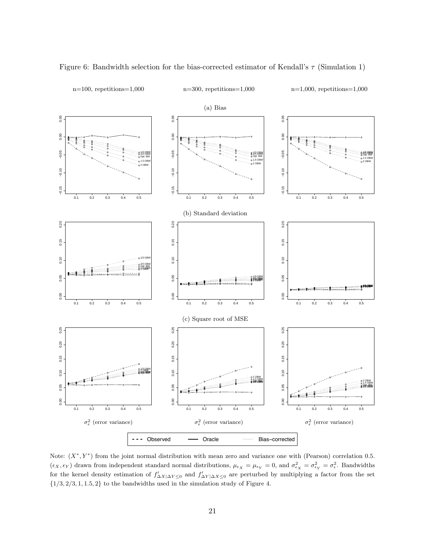

<span id="page-21-0"></span>Figure 6: Bandwidth selection for the bias-corrected estimator of Kendall's  $\tau$  (Simulation 1)

n=100, repetitions=1,000 n=300, repetitions=1,000 n=1,000, repetitions=1,000

or<br>on<br>} t for the kernel density estimation of  $f'_{\Delta X|\Delta Y\leq 0}$  and  $f'_{\Delta Y|\Delta X\leq 0}$  are perturbed by multiplying a factor from the set  $\{1/3, 2/3, 1, 1.5, 2\}$  to the bandwidths used in the simulation study of Figure 4. Note:  $(X^*, Y^*)$  from the joint normal distribution with mean zero and variance one with (Pearson) correlation 0.5.  $(\epsilon_X, \epsilon_Y)$  drawn from independent standard normal distributions,  $\mu_{\epsilon_X} = \mu_{\epsilon_Y} = 0$ , and  $\sigma_{\epsilon_X}^2 = \sigma_{\epsilon_Y}^2 = \sigma_{\epsilon}^2$ . Bandwidths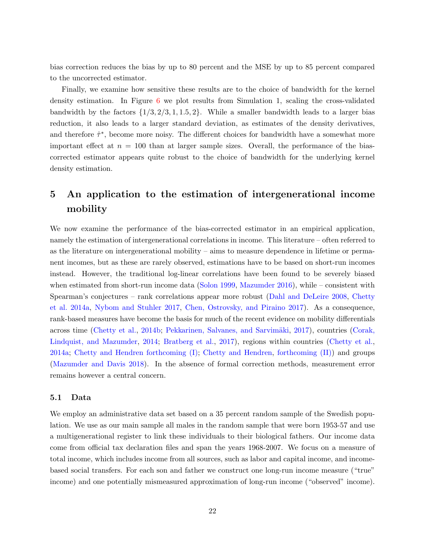bias correction reduces the bias by up to 80 percent and the MSE by up to 85 percent compared to the uncorrected estimator.

Finally, we examine how sensitive these results are to the choice of bandwidth for the kernel density estimation. In Figure [6](#page-21-0) we plot results from Simulation 1, scaling the cross-validated bandwidth by the factors  $\{1/3, 2/3, 1, 1.5, 2\}$ . While a smaller bandwidth leads to a larger bias reduction, it also leads to a larger standard deviation, as estimates of the density derivatives, and therefore  $\hat{\tau}^*$ , become more noisy. The different choices for bandwidth have a somewhat more important effect at  $n = 100$  than at larger sample sizes. Overall, the performance of the biascorrected estimator appears quite robust to the choice of bandwidth for the underlying kernel density estimation.

## <span id="page-22-0"></span>5 An application to the estimation of intergenerational income mobility

We now examine the performance of the bias-corrected estimator in an empirical application, namely the estimation of intergenerational correlations in income. This literature – often referred to as the literature on intergenerational mobility – aims to measure dependence in lifetime or permanent incomes, but as these are rarely observed, estimations have to be based on short-run incomes instead. However, the traditional log-linear correlations have been found to be severely biased when estimated from short-run income data [\(Solon](#page-33-4) [1999,](#page-33-4) [Mazumder](#page-32-11) [2016\)](#page-32-11), while – consistent with Spearman's conjectures – rank correlations appear more robust [\(Dahl and DeLeire](#page-31-1) [2008,](#page-31-1) [Chetty](#page-31-0) [et al.](#page-31-0) [2014a,](#page-31-0) [Nybom and Stuhler](#page-33-1) [2017,](#page-33-1) [Chen, Ostrovsky, and Piraino](#page-30-3) [2017\)](#page-30-3). As a consequence, rank-based measures have become the basis for much of the recent evidence on mobility differentials across time [\(Chetty et al.,](#page-31-2) [2014b;](#page-31-2) Pekkarinen, Salvanes, and Sarvimäki, [2017\)](#page-33-2), countries [\(Corak,](#page-31-3) [Lindquist, and Mazumder,](#page-31-3) [2014;](#page-31-3) [Bratberg et al.,](#page-30-2) [2017\)](#page-30-2), regions within countries [\(Chetty et al.,](#page-31-0) [2014a;](#page-31-0) [Chetty and Hendren](#page-31-10) [forthcoming \(I\);](#page-31-10) [Chetty and Hendren,](#page-31-11) [forthcoming \(II\)\)](#page-31-11) and groups [\(Mazumder and Davis](#page-32-12) [2018\)](#page-32-12). In the absence of formal correction methods, measurement error remains however a central concern.

#### 5.1 Data

We employ an administrative data set based on a 35 percent random sample of the Swedish population. We use as our main sample all males in the random sample that were born 1953-57 and use a multigenerational register to link these individuals to their biological fathers. Our income data come from official tax declaration files and span the years 1968-2007. We focus on a measure of total income, which includes income from all sources, such as labor and capital income, and incomebased social transfers. For each son and father we construct one long-run income measure ("true" income) and one potentially mismeasured approximation of long-run income ("observed" income).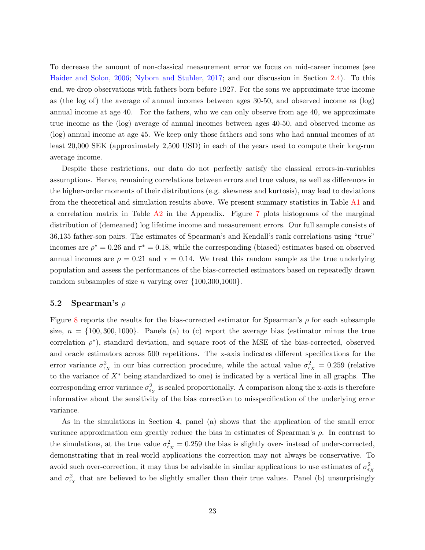To decrease the amount of non-classical measurement error we focus on mid-career incomes (see [Haider and Solon,](#page-32-9) [2006;](#page-32-9) [Nybom and Stuhler,](#page-33-1) [2017;](#page-33-1) and our discussion in Section [2.4\)](#page-10-0). To this end, we drop observations with fathers born before 1927. For the sons we approximate true income as (the log of) the average of annual incomes between ages 30-50, and observed income as (log) annual income at age 40. For the fathers, who we can only observe from age 40, we approximate true income as the (log) average of annual incomes between ages 40-50, and observed income as (log) annual income at age 45. We keep only those fathers and sons who had annual incomes of at least 20,000 SEK (approximately 2,500 USD) in each of the years used to compute their long-run average income.

Despite these restrictions, our data do not perfectly satisfy the classical errors-in-variables assumptions. Hence, remaining correlations between errors and true values, as well as differences in the higher-order moments of their distributions (e.g. skewness and kurtosis), may lead to deviations from the theoretical and simulation results above. We present summary statistics in Table [A1](#page-40-0) and a correlation matrix in Table [A2](#page-40-1) in the Appendix. Figure [7](#page-24-0) plots histograms of the marginal distribution of (demeaned) log lifetime income and measurement errors. Our full sample consists of 36,135 father-son pairs. The estimates of Spearman's and Kendall's rank correlations using "true" incomes are  $\rho^* = 0.26$  and  $\tau^* = 0.18$ , while the corresponding (biased) estimates based on observed annual incomes are  $\rho = 0.21$  and  $\tau = 0.14$ . We treat this random sample as the true underlying population and assess the performances of the bias-corrected estimators based on repeatedly drawn random subsamples of size *n* varying over  $\{100,300,1000\}$ .

#### 5.2 Spearman's  $\rho$

Figure [8](#page-26-0) reports the results for the bias-corrected estimator for Spearman's  $\rho$  for each subsample size,  $n = \{100, 300, 1000\}$ . Panels (a) to (c) report the average bias (estimator minus the true correlation  $\rho^*$ ), standard deviation, and square root of the MSE of the bias-corrected, observed and oracle estimators across 500 repetitions. The x-axis indicates different specifications for the error variance  $\sigma_{\epsilon_X}^2$  in our bias correction procedure, while the actual value  $\sigma_{\epsilon_X}^2 = 0.259$  (relative to the variance of X<sup>∗</sup> being standardized to one) is indicated by a vertical line in all graphs. The corresponding error variance  $\sigma_{\epsilon_Y}^2$  is scaled proportionally. A comparison along the x-axis is therefore informative about the sensitivity of the bias correction to misspecification of the underlying error variance.

As in the simulations in Section 4, panel (a) shows that the application of the small error variance approximation can greatly reduce the bias in estimates of Spearman's  $\rho$ . In contrast to the simulations, at the true value  $\sigma_{\epsilon_X}^2 = 0.259$  the bias is slightly over- instead of under-corrected, demonstrating that in real-world applications the correction may not always be conservative. To avoid such over-correction, it may thus be advisable in similar applications to use estimates of  $\sigma_{\epsilon_X}^2$ and  $\sigma_{\epsilon_Y}^2$  that are believed to be slightly smaller than their true values. Panel (b) unsurprisingly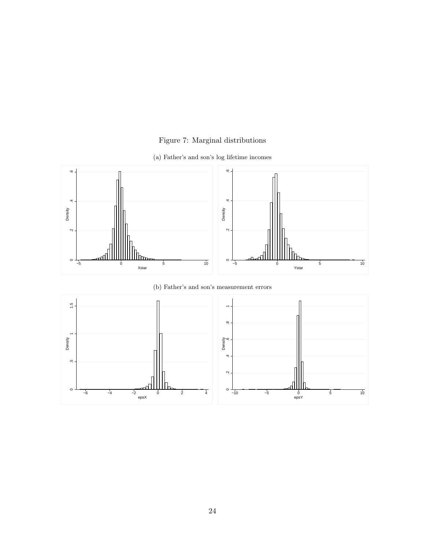## Figure 7: Marginal distributions



<span id="page-24-0"></span>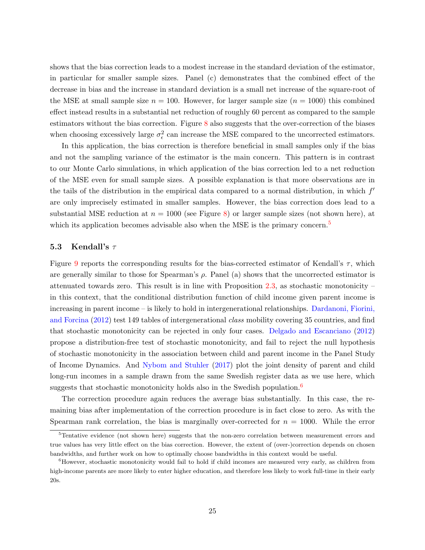shows that the bias correction leads to a modest increase in the standard deviation of the estimator, in particular for smaller sample sizes. Panel (c) demonstrates that the combined effect of the decrease in bias and the increase in standard deviation is a small net increase of the square-root of the MSE at small sample size  $n = 100$ . However, for larger sample size  $(n = 1000)$  this combined effect instead results in a substantial net reduction of roughly 60 percent as compared to the sample estimators without the bias correction. Figure [8](#page-26-0) also suggests that the over-correction of the biases when choosing excessively large  $\sigma_{\epsilon}^2$  can increase the MSE compared to the uncorrected estimators.

In this application, the bias correction is therefore beneficial in small samples only if the bias and not the sampling variance of the estimator is the main concern. This pattern is in contrast to our Monte Carlo simulations, in which application of the bias correction led to a net reduction of the MSE even for small sample sizes. A possible explanation is that more observations are in the tails of the distribution in the empirical data compared to a normal distribution, in which  $f'$ are only imprecisely estimated in smaller samples. However, the bias correction does lead to a substantial MSE reduction at  $n = 1000$  (see Figure [8\)](#page-26-0) or larger sample sizes (not shown here), at which its application becomes advisable also when the MSE is the primary concern.<sup>[5](#page-25-0)</sup>

#### 5.3 Kendall's  $\tau$

Figure [9](#page-27-0) reports the corresponding results for the bias-corrected estimator of Kendall's  $\tau$ , which are generally similar to those for Spearman's  $\rho$ . Panel (a) shows that the uncorrected estimator is attenuated towards zero. This result is in line with Proposition [2.3,](#page-9-0) as stochastic monotonicity – in this context, that the conditional distribution function of child income given parent income is increasing in parent income – is likely to hold in intergenerational relationships. [Dardanoni, Fiorini,](#page-31-12) [and Forcina](#page-31-12) [\(2012\)](#page-31-12) test 149 tables of intergenerational class mobility covering 35 countries, and find that stochastic monotonicity can be rejected in only four cases. [Delgado and Escanciano](#page-31-8) [\(2012\)](#page-31-8) propose a distribution-free test of stochastic monotonicity, and fail to reject the null hypothesis of stochastic monotonicity in the association between child and parent income in the Panel Study of Income Dynamics. And [Nybom and Stuhler](#page-33-1) [\(2017\)](#page-33-1) plot the joint density of parent and child long-run incomes in a sample drawn from the same Swedish register data as we use here, which suggests that stochastic monotonicity holds also in the Swedish population.<sup>[6](#page-25-1)</sup>

The correction procedure again reduces the average bias substantially. In this case, the remaining bias after implementation of the correction procedure is in fact close to zero. As with the Spearman rank correlation, the bias is marginally over-corrected for  $n = 1000$ . While the error

<span id="page-25-0"></span><sup>5</sup>Tentative evidence (not shown here) suggests that the non-zero correlation between measurement errors and true values has very little effect on the bias correction. However, the extent of (over-)correction depends on chosen bandwidths, and further work on how to optimally choose bandwidths in this context would be useful.

<span id="page-25-1"></span><sup>&</sup>lt;sup>6</sup>However, stochastic monotonicity would fail to hold if child incomes are measured very early, as children from high-income parents are more likely to enter higher education, and therefore less likely to work full-time in their early 20s.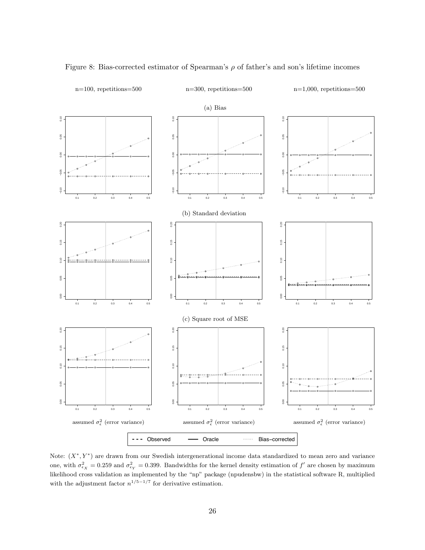

<span id="page-26-0"></span>Figure 8: Bias-corrected estimator of Spearman's  $\rho$  of father's and son's lifetime incomes

re<br>0.2<br>∍n likelihood cross validation as implemented by the "np" package (npudensbw) in the statistical software R, multiplied with the adjustment factor  $n^{1/5-1/7}$  for derivative estimation. Note:  $(X^*, Y^*)$  are drawn from our Swedish intergenerational income data standardized to mean zero and variance one, with  $\sigma_{\epsilon_X}^2 = 0.259$  and  $\sigma_{\epsilon_Y}^2 = 0.399$ . Bandwidths for the kernel density estimation of  $f'$  are chosen by maximum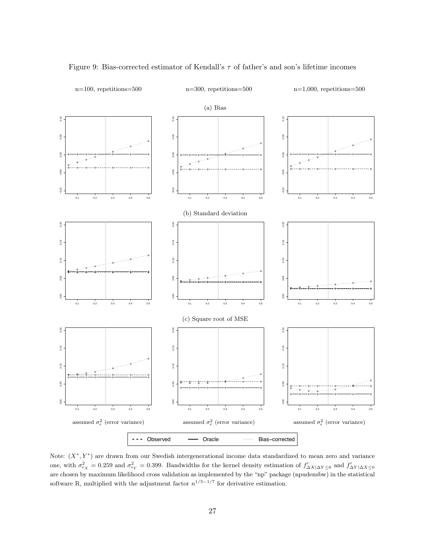

<span id="page-27-0"></span>Figure 9: Bias-corrected estimator of Kendall's  $\tau$  of father's and son's lifetime incomes

re<br>0.2<br>pli<br>pli are chosen by maximum likelihood cross validation as implemented by the "np" package (npudensbw) in the statistical software R, multiplied with the adjustment factor  $n^{1/5-1/7}$  for derivative estimation. Note:  $(X^*, Y^*)$  are drawn from our Swedish intergenerational income data standardized to mean zero and variance one, with  $\sigma_{\epsilon_X}^2 = 0.259$  and  $\sigma_{\epsilon_Y}^2 = 0.399$ . Bandwidths for the kernel density estimation of  $f'_{\Delta X|\Delta Y\leq 0}$  and  $f'_{\Delta Y|\Delta X\leq 0}$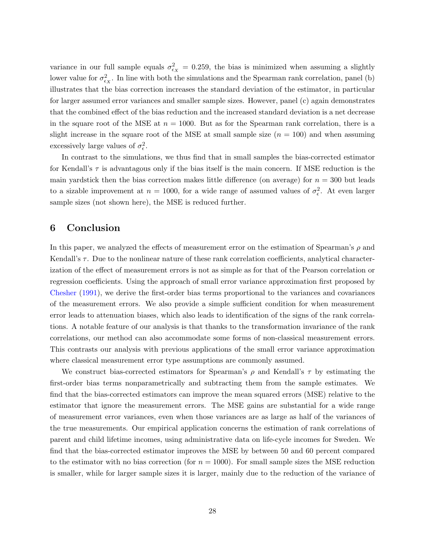variance in our full sample equals  $\sigma_{\epsilon_X}^2 = 0.259$ , the bias is minimized when assuming a slightly lower value for  $\sigma_{\epsilon_X}^2$ . In line with both the simulations and the Spearman rank correlation, panel (b) illustrates that the bias correction increases the standard deviation of the estimator, in particular for larger assumed error variances and smaller sample sizes. However, panel (c) again demonstrates that the combined effect of the bias reduction and the increased standard deviation is a net decrease in the square root of the MSE at  $n = 1000$ . But as for the Spearman rank correlation, there is a slight increase in the square root of the MSE at small sample size  $(n = 100)$  and when assuming excessively large values of  $\sigma_{\epsilon}^2$ .

In contrast to the simulations, we thus find that in small samples the bias-corrected estimator for Kendall's  $\tau$  is advantagous only if the bias itself is the main concern. If MSE reduction is the main yardstick then the bias correction makes little difference (on average) for  $n = 300$  but leads to a sizable improvement at  $n = 1000$ , for a wide range of assumed values of  $\sigma_{\epsilon}^2$ . At even larger sample sizes (not shown here), the MSE is reduced further.

## <span id="page-28-0"></span>6 Conclusion

In this paper, we analyzed the effects of measurement error on the estimation of Spearman's  $\rho$  and Kendall's  $\tau$ . Due to the nonlinear nature of these rank correlation coefficients, analytical characterization of the effect of measurement errors is not as simple as for that of the Pearson correlation or regression coefficients. Using the approach of small error variance approximation first proposed by [Chesher](#page-31-4) [\(1991\)](#page-31-4), we derive the first-order bias terms proportional to the variances and covariances of the measurement errors. We also provide a simple sufficient condition for when measurement error leads to attenuation biases, which also leads to identification of the signs of the rank correlations. A notable feature of our analysis is that thanks to the transformation invariance of the rank correlations, our method can also accommodate some forms of non-classical measurement errors. This contrasts our analysis with previous applications of the small error variance approximation where classical measurement error type assumptions are commonly assumed.

We construct bias-corrected estimators for Spearman's  $\rho$  and Kendall's  $\tau$  by estimating the first-order bias terms nonparametrically and subtracting them from the sample estimates. We find that the bias-corrected estimators can improve the mean squared errors (MSE) relative to the estimator that ignore the measurement errors. The MSE gains are substantial for a wide range of measurement error variances, even when those variances are as large as half of the variances of the true measurements. Our empirical application concerns the estimation of rank correlations of parent and child lifetime incomes, using administrative data on life-cycle incomes for Sweden. We find that the bias-corrected estimator improves the MSE by between 50 and 60 percent compared to the estimator with no bias correction (for  $n = 1000$ ). For small sample sizes the MSE reduction is smaller, while for larger sample sizes it is larger, mainly due to the reduction of the variance of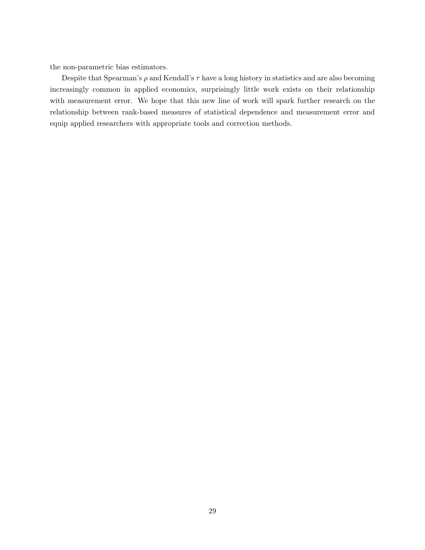the non-parametric bias estimators.

Despite that Spearman's  $\rho$  and Kendall's  $\tau$  have a long history in statistics and are also becoming increasingly common in applied economics, surprisingly little work exists on their relationship with measurement error. We hope that this new line of work will spark further research on the relationship between rank-based measures of statistical dependence and measurement error and equip applied researchers with appropriate tools and correction methods.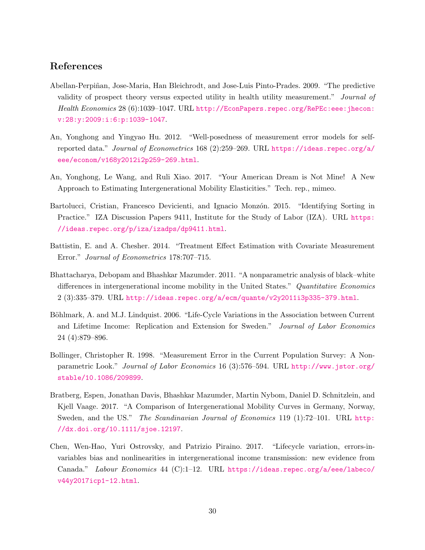## References

- <span id="page-30-0"></span>Abellan-Perpiñan, Jose-Maria, Han Bleichrodt, and Jose-Luis Pinto-Prades. 2009. "The predictive validity of prospect theory versus expected utility in health utility measurement." Journal of Health Economics 28 (6):1039–1047. URL [http://EconPapers.repec.org/RePEc:eee:jhecon:](http://EconPapers.repec.org/RePEc:eee:jhecon:v:28:y:2009:i:6:p:1039-1047) [v:28:y:2009:i:6:p:1039-1047](http://EconPapers.repec.org/RePEc:eee:jhecon:v:28:y:2009:i:6:p:1039-1047).
- <span id="page-30-9"></span>An, Yonghong and Yingyao Hu. 2012. "Well-posedness of measurement error models for selfreported data." Journal of Econometrics 168 (2):259–269. URL [https://ideas.repec.org/a/](https://ideas.repec.org/a/eee/econom/v168y2012i2p259-269.html) [eee/econom/v168y2012i2p259-269.html](https://ideas.repec.org/a/eee/econom/v168y2012i2p259-269.html).
- <span id="page-30-6"></span>An, Yonghong, Le Wang, and Ruli Xiao. 2017. "Your American Dream is Not Mine! A New Approach to Estimating Intergenerational Mobility Elasticities." Tech. rep., mimeo.
- <span id="page-30-5"></span>Bartolucci, Cristian, Francesco Devicienti, and Ignacio Monzón. 2015. "Identifying Sorting in Practice." IZA Discussion Papers 9411, Institute for the Study of Labor (IZA). URL [https:](https://ideas.repec.org/p/iza/izadps/dp9411.html) [//ideas.repec.org/p/iza/izadps/dp9411.html](https://ideas.repec.org/p/iza/izadps/dp9411.html).
- <span id="page-30-4"></span>Battistin, E. and A. Chesher. 2014. "Treatment Effect Estimation with Covariate Measurement Error." Journal of Econometrics 178:707–715.
- <span id="page-30-1"></span>Bhattacharya, Debopam and Bhashkar Mazumder. 2011. "A nonparametric analysis of black–white differences in intergenerational income mobility in the United States." Quantitative Economics 2 (3):335–379. URL <http://ideas.repec.org/a/ecm/quante/v2y2011i3p335-379.html>.
- <span id="page-30-7"></span>Böhlmark, A. and M.J. Lindquist. 2006. "Life-Cycle Variations in the Association between Current and Lifetime Income: Replication and Extension for Sweden." Journal of Labor Economics 24 (4):879–896.
- <span id="page-30-8"></span>Bollinger, Christopher R. 1998. "Measurement Error in the Current Population Survey: A Nonparametric Look." Journal of Labor Economics 16 (3):576–594. URL [http://www.jstor.org/](http://www.jstor.org/stable/10.1086/209899) [stable/10.1086/209899](http://www.jstor.org/stable/10.1086/209899).
- <span id="page-30-2"></span>Bratberg, Espen, Jonathan Davis, Bhashkar Mazumder, Martin Nybom, Daniel D. Schnitzlein, and Kjell Vaage. 2017. "A Comparison of Intergenerational Mobility Curves in Germany, Norway, Sweden, and the US." The Scandinavian Journal of Economics 119 (1):72-101. URL [http:](http://dx.doi.org/10.1111/sjoe.12197) [//dx.doi.org/10.1111/sjoe.12197](http://dx.doi.org/10.1111/sjoe.12197).
- <span id="page-30-3"></span>Chen, Wen-Hao, Yuri Ostrovsky, and Patrizio Piraino. 2017. "Lifecycle variation, errors-invariables bias and nonlinearities in intergenerational income transmission: new evidence from Canada." Labour Economics 44 (C):1–12. URL [https://ideas.repec.org/a/eee/labeco/](https://ideas.repec.org/a/eee/labeco/v44y2017icp1-12.html) [v44y2017icp1-12.html](https://ideas.repec.org/a/eee/labeco/v44y2017icp1-12.html).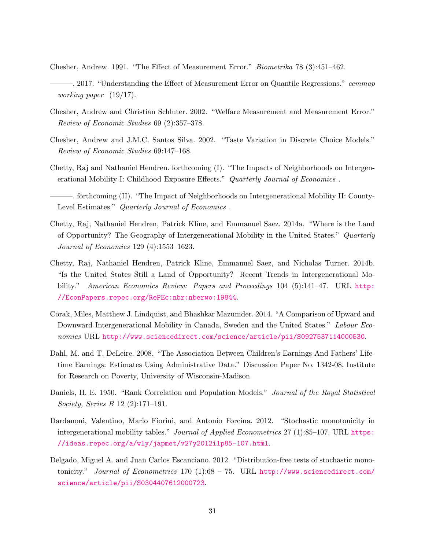<span id="page-31-4"></span>Chesher, Andrew. 1991. "The Effect of Measurement Error." Biometrika 78 (3):451–462.

- <span id="page-31-7"></span>—. 2017. "Understanding the Effect of Measurement Error on Quantile Regressions." cemmap working paper (19/17).
- <span id="page-31-5"></span>Chesher, Andrew and Christian Schluter. 2002. "Welfare Measurement and Measurement Error." Review of Economic Studies 69 (2):357–378.
- <span id="page-31-6"></span>Chesher, Andrew and J.M.C. Santos Silva. 2002. "Taste Variation in Discrete Choice Models." Review of Economic Studies 69:147–168.
- <span id="page-31-10"></span>Chetty, Raj and Nathaniel Hendren. forthcoming (I). "The Impacts of Neighborhoods on Intergenerational Mobility I: Childhood Exposure Effects." Quarterly Journal of Economics.
- <span id="page-31-11"></span>- forthcoming (II). "The Impact of Neighborhoods on Intergenerational Mobility II: County-Level Estimates." Quarterly Journal of Economics .
- <span id="page-31-0"></span>Chetty, Raj, Nathaniel Hendren, Patrick Kline, and Emmanuel Saez. 2014a. "Where is the Land of Opportunity? The Geography of Intergenerational Mobility in the United States." Quarterly Journal of Economics 129 (4):1553–1623.
- <span id="page-31-2"></span>Chetty, Raj, Nathaniel Hendren, Patrick Kline, Emmanuel Saez, and Nicholas Turner. 2014b. "Is the United States Still a Land of Opportunity? Recent Trends in Intergenerational Mobility." American Economics Review: Papers and Proceedings 104 (5):141-47. URL [http:](http://EconPapers.repec.org/RePEc:nbr:nberwo:19844) [//EconPapers.repec.org/RePEc:nbr:nberwo:19844](http://EconPapers.repec.org/RePEc:nbr:nberwo:19844).
- <span id="page-31-3"></span>Corak, Miles, Matthew J. Lindquist, and Bhashkar Mazumder. 2014. "A Comparison of Upward and Downward Intergenerational Mobility in Canada, Sweden and the United States." Labour Economics URL <http://www.sciencedirect.com/science/article/pii/S0927537114000530>.
- <span id="page-31-1"></span>Dahl, M. and T. DeLeire. 2008. "The Association Between Children's Earnings And Fathers' Lifetime Earnings: Estimates Using Administrative Data." Discussion Paper No. 1342-08, Institute for Research on Poverty, University of Wisconsin-Madison.
- <span id="page-31-9"></span>Daniels, H. E. 1950. "Rank Correlation and Population Models." Journal of the Royal Statistical Society, Series B 12 (2):171–191.
- <span id="page-31-12"></span>Dardanoni, Valentino, Mario Fiorini, and Antonio Forcina. 2012. "Stochastic monotonicity in intergenerational mobility tables." Journal of Applied Econometrics 27 (1):85-107. URL [https:](https://ideas.repec.org/a/wly/japmet/v27y2012i1p85-107.html) [//ideas.repec.org/a/wly/japmet/v27y2012i1p85-107.html](https://ideas.repec.org/a/wly/japmet/v27y2012i1p85-107.html).
- <span id="page-31-8"></span>Delgado, Miguel A. and Juan Carlos Escanciano. 2012. "Distribution-free tests of stochastic monotonicity." Journal of Econometrics 170 (1):68 - 75. URL [http://www.sciencedirect.com/](http://www.sciencedirect.com/science/article/pii/S0304407612000723) [science/article/pii/S0304407612000723](http://www.sciencedirect.com/science/article/pii/S0304407612000723).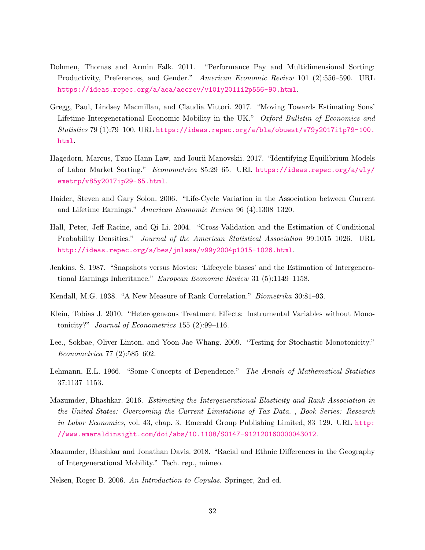- <span id="page-32-2"></span>Dohmen, Thomas and Armin Falk. 2011. "Performance Pay and Multidimensional Sorting: Productivity, Preferences, and Gender." American Economic Review 101 (2):556–590. URL <https://ideas.repec.org/a/aea/aecrev/v101y2011i2p556-90.html>.
- <span id="page-32-3"></span>Gregg, Paul, Lindsey Macmillan, and Claudia Vittori. 2017. "Moving Towards Estimating Sons' Lifetime Intergenerational Economic Mobility in the UK." Oxford Bulletin of Economics and Statistics 79 (1):79–100. URL [https://ideas.repec.org/a/bla/obuest/v79y2017i1p79-100.](https://ideas.repec.org/a/bla/obuest/v79y2017i1p79-100.html) [html](https://ideas.repec.org/a/bla/obuest/v79y2017i1p79-100.html).
- <span id="page-32-1"></span>Hagedorn, Marcus, Tzuo Hann Law, and Iourii Manovskii. 2017. "Identifying Equilibrium Models of Labor Market Sorting." Econometrica 85:29–65. URL [https://ideas.repec.org/a/wly/](https://ideas.repec.org/a/wly/emetrp/v85y2017ip29-65.html) [emetrp/v85y2017ip29-65.html](https://ideas.repec.org/a/wly/emetrp/v85y2017ip29-65.html).
- <span id="page-32-9"></span>Haider, Steven and Gary Solon. 2006. "Life-Cycle Variation in the Association between Current and Lifetime Earnings." American Economic Review 96 (4):1308–1320.
- <span id="page-32-10"></span>Hall, Peter, Jeff Racine, and Qi Li. 2004. "Cross-Validation and the Estimation of Conditional Probability Densities." Journal of the American Statistical Association 99:1015–1026. URL <http://ideas.repec.org/a/bes/jnlasa/v99y2004p1015-1026.html>.
- <span id="page-32-8"></span>Jenkins, S. 1987. "Snapshots versus Movies: 'Lifecycle biases' and the Estimation of Intergenerational Earnings Inheritance." European Economic Review 31 (5):1149–1158.
- <span id="page-32-0"></span>Kendall, M.G. 1938. "A New Measure of Rank Correlation." Biometrika 30:81–93.
- <span id="page-32-4"></span>Klein, Tobias J. 2010. "Heterogeneous Treatment Effects: Instrumental Variables without Monotonicity?" Journal of Econometrics 155 (2):99–116.
- <span id="page-32-7"></span>Lee., Sokbae, Oliver Linton, and Yoon-Jae Whang. 2009. "Testing for Stochastic Monotonicity." Econometrica 77 (2):585–602.
- <span id="page-32-6"></span>Lehmann, E.L. 1966. "Some Concepts of Dependence." The Annals of Mathematical Statistics 37:1137–1153.
- <span id="page-32-11"></span>Mazumder, Bhashkar. 2016. Estimating the Intergenerational Elasticity and Rank Association in the United States: Overcoming the Current Limitations of Tax Data. , Book Series: Research in Labor Economics, vol. 43, chap. 3. Emerald Group Publishing Limited, 83–129. URL [http:](http://www.emeraldinsight.com/doi/abs/10.1108/S0147-912120160000043012) [//www.emeraldinsight.com/doi/abs/10.1108/S0147-912120160000043012](http://www.emeraldinsight.com/doi/abs/10.1108/S0147-912120160000043012).
- <span id="page-32-12"></span>Mazumder, Bhashkar and Jonathan Davis. 2018. "Racial and Ethnic Differences in the Geography of Intergenerational Mobility." Tech. rep., mimeo.

<span id="page-32-5"></span>Nelsen, Roger B. 2006. An Introduction to Copulas. Springer, 2nd ed.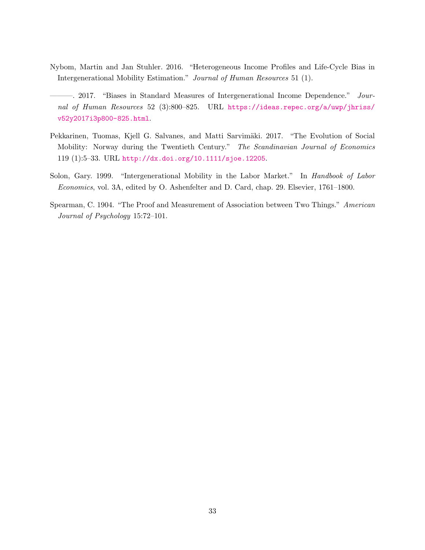- <span id="page-33-3"></span>Nybom, Martin and Jan Stuhler. 2016. "Heterogeneous Income Profiles and Life-Cycle Bias in Intergenerational Mobility Estimation." Journal of Human Resources 51 (1).
- <span id="page-33-1"></span>———. 2017. "Biases in Standard Measures of Intergenerational Income Dependence." Journal of Human Resources 52 (3):800-825. URL [https://ideas.repec.org/a/uwp/jhriss/](https://ideas.repec.org/a/uwp/jhriss/v52y2017i3p800-825.html) [v52y2017i3p800-825.html](https://ideas.repec.org/a/uwp/jhriss/v52y2017i3p800-825.html).
- <span id="page-33-2"></span>Pekkarinen, Tuomas, Kjell G. Salvanes, and Matti Sarvimäki. 2017. "The Evolution of Social Mobility: Norway during the Twentieth Century." The Scandinavian Journal of Economics 119 (1):5–33. URL <http://dx.doi.org/10.1111/sjoe.12205>.
- <span id="page-33-4"></span>Solon, Gary. 1999. "Intergenerational Mobility in the Labor Market." In Handbook of Labor Economics, vol. 3A, edited by O. Ashenfelter and D. Card, chap. 29. Elsevier, 1761–1800.
- <span id="page-33-0"></span>Spearman, C. 1904. "The Proof and Measurement of Association between Two Things." American Journal of Psychology 15:72–101.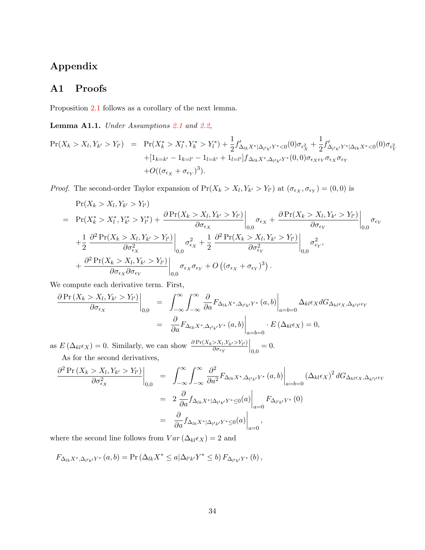## Appendix

## <span id="page-34-1"></span>A1 Proofs

Proposition [2.1](#page-7-1) follows as a corollary of the next lemma.

<span id="page-34-0"></span>Lemma A1.1. Under Assumptions [2.1](#page-5-1) and [2.2,](#page-6-0)

$$
\Pr(X_k > X_l, Y_{k'} > Y_{l'}) = \Pr(X_k^* > X_l^*, Y_k^* > Y_l^*) + \frac{1}{2} f'_{\Delta_{lk} X^* | \Delta_{l'k'} Y^* < 0}(0) \sigma_{\epsilon_X^2} + \frac{1}{2} f'_{\Delta_{l'k'} Y^* | \Delta_{lk} X^* < 0}(0) \sigma_{\epsilon_Y^2}
$$
\n
$$
+ [1_{k=k'} - 1_{k=l'} - 1_{l=k'} + 1_{l=l'}] f_{\Delta_{lk} X^*, \Delta_{l'k'} Y^*}(0,0) \sigma_{\epsilon_X \epsilon_Y} \sigma_{\epsilon_Y} \sigma_{\epsilon_Y}
$$
\n
$$
+ O((\sigma_{\epsilon_X} + \sigma_{\epsilon_Y})^3).
$$

*Proof.* The second-order Taylor expansion of  $Pr(X_k > X_l, Y_{k'} > Y_{l'})$  at  $(\sigma_{\epsilon_X}, \sigma_{\epsilon_Y}) = (0, 0)$  is

$$
\Pr(X_k > X_l, Y_{k'} > Y_{l'})
$$
\n
$$
= \Pr(X_k^* > X_l^*, Y_{k'}^* > Y_{l'}^*) + \frac{\partial \Pr(X_k > X_l, Y_{k'} > Y_{l'})}{\partial \sigma_{\epsilon_X}} \bigg|_{0,0} \sigma_{\epsilon_X} + \frac{\partial \Pr(X_k > X_l, Y_{k'} > Y_{l'})}{\partial \sigma_{\epsilon_Y}} \bigg|_{0,0} \sigma_{\epsilon_Y}
$$
\n
$$
+ \frac{1}{2} \frac{\partial^2 \Pr(X_k > X_l, Y_{k'} > Y_{l'})}{\partial \sigma_{\epsilon_X}^2} \bigg|_{0,0} \sigma_{\epsilon_X}^2 + \frac{1}{2} \frac{\partial^2 \Pr(X_k > X_l, Y_{k'} > Y_{l'})}{\partial \sigma_{\epsilon_Y}^2} \bigg|_{0,0} \sigma_{\epsilon_Y}^2,
$$
\n
$$
+ \frac{\partial^2 \Pr(X_k > X_l, Y_{k'} > Y_{l'})}{\partial \sigma_{\epsilon_X} \partial \sigma_{\epsilon_Y}}
$$
\n
$$
\sigma_{\epsilon_X} \sigma_{\epsilon_Y} + O((\sigma_{\epsilon_X} + \sigma_{\epsilon_Y})^3).
$$

We compute each derivative term. First,

$$
\frac{\partial \Pr(X_k > X_l, Y_{k'} > Y_{l'})}{\partial \sigma_{\epsilon_X}}\Big|_{0,0} = \int_{-\infty}^{\infty} \int_{-\infty}^{\infty} \frac{\partial}{\partial a} F_{\Delta_{lk} X^*, \Delta_{l'k'} Y^*}(a, b) \Big|_{a=b=0} \Delta_{kl} \epsilon_X dG_{\Delta_{kl} \epsilon_X, \Delta_{k'l'} \epsilon_Y}
$$

$$
= \frac{\partial}{\partial a} F_{\Delta_{lk} X^*, \Delta_{l'k'} Y^*}(a, b) \Big|_{a=b=0} \cdot E(\Delta_{kl} \epsilon_X) = 0,
$$

as  $E\left(\Delta_{kl}\epsilon_X\right) = 0$ . Similarly, we can show  $\frac{\partial Pr(X_k > X_l, Y_{k'} > Y_{l'})}{\partial \sigma_{\epsilon_{k'}}}$  $\partial \sigma_{\epsilon_{Y}}$  $\Big|_{0,0} = 0.$ As for the second derivatives,

$$
\frac{\partial^2 \Pr(X_k > X_l, Y_{k'} > Y_{l'})}{\partial \sigma_{\epsilon_X}^2}\bigg|_{0,0} = \int_{-\infty}^{\infty} \int_{-\infty}^{\infty} \frac{\partial^2}{\partial a^2} F_{\Delta_{lk} X^*, \Delta_{l'k'} Y^*}(a, b) \bigg|_{a=b=0} (\Delta_{kl} \epsilon_X)^2 dG_{\Delta_{kl} \epsilon_X, \Delta_{k'l'} \epsilon_Y}
$$
\n
$$
= 2 \frac{\partial}{\partial a} f_{\Delta_{lk} X^* | \Delta_{l'k'} Y^* \le 0}(a) \bigg|_{a=0} F_{\Delta_{l'k'} Y^*}(0)
$$
\n
$$
= \frac{\partial}{\partial a} f_{\Delta_{lk} X^* | \Delta_{l'k'} Y^* \le 0}(a) \bigg|_{a=0},
$$

where the second line follows from  $Var\left(\Delta_{kl}\epsilon_X\right)=2$  and

$$
F_{\Delta_{lk}X^*,\Delta_{l'k'}Y^*}(a,b) = \Pr\left(\Delta_{lk}X^* \leq a|\Delta_{l'k'}Y^* \leq b\right)F_{\Delta_{l'k'}Y^*}(b),
$$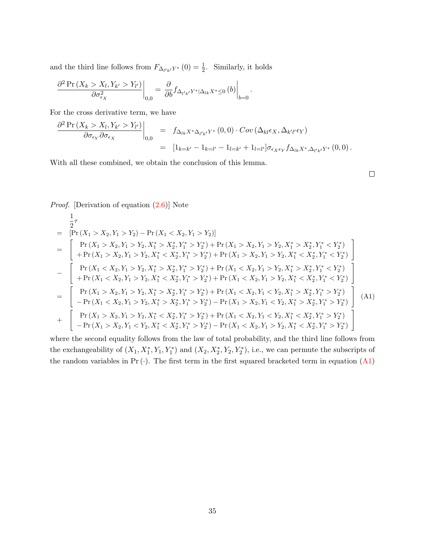and the third line follows from  $F_{\Delta_{l'k'}Y^*}(0) = \frac{1}{2}$ . Similarly, it holds

$$
\frac{\partial^2 \Pr\left(X_k > X_l, Y_{k'} > Y_{l'}\right)}{\partial \sigma_{\epsilon_X}^2}\bigg|_{0,0} = \frac{\partial}{\partial b} f_{\Delta_{l'k'}Y^*|\Delta_{lk}X^* \le 0} \left(b\right)\bigg|_{b=0}
$$

For the cross derivative term, we have

$$
\frac{\partial^2 \Pr(X_k > X_l, Y_{k'} > Y_{l'})}{\partial \sigma_{\epsilon_Y} \partial \sigma_{\epsilon_X}}\Big|_{0,0} = f_{\Delta_{lk}X^* \Delta_{l'k'}Y^*}(0,0) \cdot Cov(\Delta_{kl}\epsilon_X, \Delta_{k'l'}\epsilon_Y)
$$
  

$$
= [1_{k=k'} - 1_{k=l'} - 1_{l=k'} + 1_{l=l'}]\sigma_{\epsilon_X \epsilon_Y} f_{\Delta_{lk}X^* \Delta_{l'k'}Y^*}(0,0).
$$

.

With all these combined, we obtain the conclusion of this lemma.

 $\Box$ 

#### Proof. [Derivation of equation [\(2.6\)](#page-8-1)] Note

<span id="page-35-0"></span>
$$
\frac{1}{2}\tau
$$
\n
$$
= [Pr(X_1 > X_2, Y_1 > Y_2) - Pr(X_1 < X_2, Y_1 > Y_2)]
$$
\n
$$
= \begin{bmatrix} Pr(X_1 > X_2, Y_1 > Y_2, X_1^* > X_2^*, Y_1^* > Y_2^*) + Pr(X_1 > X_2, Y_1 > Y_2, X_1^* > X_2^*, Y_1^* < Y_2^*)
$$
\n
$$
+ Pr(X_1 > X_2, Y_1 > Y_2, X_1^* < X_2^*, Y_1^* > Y_2^*) + Pr(X_1 > X_2, Y_1 > Y_2, X_1^* < X_2^*, Y_1^* < Y_2^*)
$$
\n
$$
- \begin{bmatrix} Pr(X_1 < X_2, Y_1 > Y_2, X_1^* > X_2^*, Y_1^* > Y_2^*) + Pr(X_1 < X_2, Y_1 > Y_2, X_1^* > X_2^*, Y_1^* < Y_2^*)
$$
\n
$$
+ Pr(X_1 < X_2, Y_1 > Y_2, X_1^* < X_2^*, Y_1^* > Y_2^*) + Pr(X_1 < X_2, Y_1 > Y_2, X_1^* < X_2^*, Y_1^* < Y_2^*)
$$
\n
$$
- \begin{bmatrix} Pr(X_1 > X_2, Y_1 > Y_2, X_1^* > X_2^*, Y_1^* > Y_2^*) + Pr(X_1 < X_2, Y_1 < Y_2, X_1^* < X_2^*, Y_1^* < Y_2^*)\\ - Pr(X_1 < X_2, Y_1 > Y_2, X_1^* > X_2^*, Y_1^* > Y_2^*) - Pr(X_1 > X_2, Y_1 < Y_2, X_1^* > X_2^*, Y_1^* > Y_2^*) \end{bmatrix} (A1)
$$
\n
$$
+ \begin{bmatrix} Pr(X_1 > X_2, Y_1 > Y_2, X_1^* < X_2^*, Y_1^* > Y_2^*) + Pr(X_1 < X_2, Y_1 < Y_2, X_1^* < X_2^*, Y_1^* > Y_2^*)\\ - Pr(X_1 > X_2, Y_1 < Y_2, X_1^* < X_2^*, Y_1^* > Y_2^*) - Pr(X_1 < X_2,
$$

where the second equality follows from the law of total probability, and the third line follows from the exchangeability of  $(X_1, X_1^*, Y_1, Y_1^*)$  and  $(X_2, X_2^*, Y_2, Y_2^*)$ , i.e., we can permute the subscripts of the random variables in  $Pr(\cdot)$ . The first term in the first squared bracketed term in equation  $(A1)$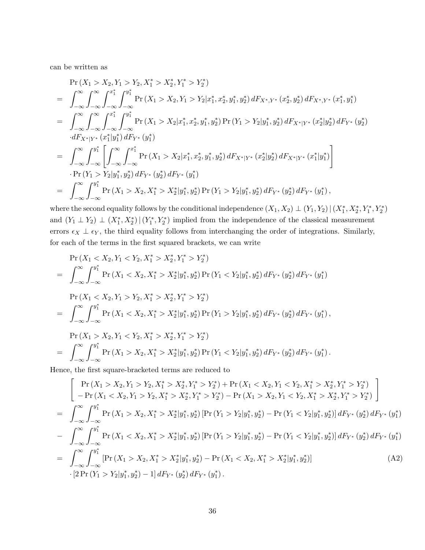can be written as

$$
\Pr(X_1 > X_2, Y_1 > Y_2, X_1^* > X_2^*, Y_1^* > Y_2^*)
$$
\n
$$
= \int_{-\infty}^{\infty} \int_{-\infty}^{\infty} \int_{-\infty}^{x_1^*} \int_{-\infty}^{y_1^*} \Pr(X_1 > X_2, Y_1 > Y_2 | x_1^*, x_2^*, y_1^*, y_2^*) dF_{X^*, Y^*}(x_2^*, y_2^*) dF_{X^*, Y^*}(x_1^*, y_1^*)
$$
\n
$$
= \int_{-\infty}^{\infty} \int_{-\infty}^{\infty} \int_{-\infty}^{x_1^*} \int_{-\infty}^{y_1^*} \Pr(X_1 > X_2 | x_1^*, x_2^*, y_1^*, y_2^*) \Pr(Y_1 > Y_2 | y_1^*, y_2^*) dF_{X^*|Y^*}(x_2^* | y_2^*) dF_{Y^*}(y_2^*)
$$
\n
$$
\cdot dF_{X^*|Y^*}(x_1^* | y_1^*) dF_{Y^*}(y_1^*)
$$
\n
$$
= \int_{-\infty}^{\infty} \int_{-\infty}^{y_1^*} \left[ \int_{-\infty}^{\infty} \int_{-\infty}^{x_1^*} \Pr(X_1 > X_2 | x_1^*, x_2^*, y_1^*, y_2^*) dF_{X^*|Y^*}(x_2^* | y_2^*) dF_{X^*|Y^*}(x_1^* | y_1^*) \right]
$$
\n
$$
\cdot \Pr(Y_1 > Y_2 | y_1^*, y_2^*) dF_{Y^*}(y_2^*) dF_{Y^*}(y_1^*)
$$
\n
$$
= \int_{-\infty}^{\infty} \int_{-\infty}^{y_1^*} \Pr(X_1 > X_2, X_1^* > X_2^* | y_1^*, y_2^*) \Pr(Y_1 > Y_2 | y_1^*, y_2^*) dF_{Y^*}(y_2^*) dF_{Y^*}(y_1^*),
$$

where the second equality follows by the conditional independence  $(X_1, X_2) \perp (Y_1, Y_2) \mid (X_1^*, X_2^*, Y_1^*, Y_2^*)$ and  $(Y_1 \perp Y_2) \perp (X_1^*, X_2^*) | (Y_1^*, Y_2^*)$  implied from the independence of the classical measurement errors  $\epsilon_X \perp \epsilon_Y$ , the third equality follows from interchanging the order of integrations. Similarly, for each of the terms in the first squared brackets, we can write

$$
\Pr(X_1 < X_2, Y_1 < Y_2, X_1^* > X_2^*, Y_1^* > Y_2^*)
$$
\n
$$
= \int_{-\infty}^{\infty} \int_{-\infty}^{y_1^*} \Pr(X_1 < X_2, X_1^* > X_2^* | y_1^*, y_2^*) \Pr(Y_1 < Y_2 | y_1^*, y_2^*) \, dF_{Y^*}(y_2^*) \, dF_{Y^*}(y_1^*)
$$
\n
$$
\Pr(X_1 < X_2, Y_1 > Y_2, X_1^* > X_2^*, Y_1^* > Y_2^*)
$$
\n
$$
= \int_{-\infty}^{\infty} \int_{-\infty}^{y_1^*} \Pr(X_1 < X_2, X_1^* > X_2^* | y_1^*, y_2^*) \Pr(Y_1 > Y_2 | y_1^*, y_2^*) \, dF_{Y^*}(y_2^*) \, dF_{Y^*}(y_1^*),
$$
\n
$$
\Pr(X_1 > X_2, Y_1 < Y_2, X_1^* > X_2^*, Y_1^* > Y_2^*)
$$
\n
$$
= \int_{-\infty}^{\infty} \int_{-\infty}^{y_1^*} \Pr(X_1 > X_2, X_1^* > X_2^* | y_1^*, y_2^*) \Pr(Y_1 < Y_2 | y_1^*, y_2^*) \, dF_{Y^*}(y_2^*) \, dF_{Y^*}(y_1^*).
$$
\nSince the first square-bracket terms are reduced to

Hence, the first square-bracketed terms are reduced to

<span id="page-36-0"></span>
$$
\begin{aligned}\n&= \int_{-\infty}^{\infty} \int_{-\infty}^{y_1^*} \left[ \Pr\left(X_1 > X_2, X_1^* > X_2^*, Y_1^* > Y_2^*\right) + \Pr\left(X_1 < X_2, Y_1 < Y_2, X_1^* > X_2^*, Y_1^* > Y_2^*\right) \\
&= \int_{-\infty}^{\infty} \int_{-\infty}^{y_1^*} \Pr\left(X_1 > X_2, X_1^* > X_2^*, Y_1^* > Y_2^*\right) - \Pr\left(X_1 > X_2, Y_1 < Y_2, X_1^* > X_2^*, Y_1^* > Y_2^*\right) \\
&= \int_{-\infty}^{\infty} \int_{-\infty}^{y_1^*} \Pr\left(X_1 > X_2, X_1^* > X_2^* | y_1^*, y_2^*\right) \left[ \Pr\left(Y_1 > Y_2 | y_1^*, y_2^*\right) - \Pr\left(Y_1 < Y_2 | y_1^*, y_2^*\right) \right] dF_{Y^*}\left(y_2^*\right) dF_{Y^*}\left(y_1^*\right) \\
&= \int_{-\infty}^{\infty} \int_{-\infty}^{y_1^*} \Pr\left(X_1 < X_2, X_1^* > X_2^* | y_1^*, y_2^*\right) \left[ \Pr\left(Y_1 > Y_2 | y_1^*, y_2^*\right) - \Pr\left(Y_1 < Y_2 | y_1^*, y_2^*\right) \right] dF_{Y^*}\left(y_2^*\right) dF_{Y^*}\left(y_1^*\right) \\
&= \int_{-\infty}^{\infty} \int_{-\infty}^{y_1^*} \left[ \Pr\left(X_1 > X_2, X_1^* > X_2^* | y_1^*, y_2^*\right) - \Pr\left(X_1 < X_2, X_1^* > X_2^* | y_1^*, y_2^*\right) \right] \\
&= \left[ 2\Pr\left(Y_1 > Y_2 | y_1^*, y_2^*\right) - 1 \right] dF_{Y^*}\left(y_2^*\right) dF_{Y^*}\left(y_1
$$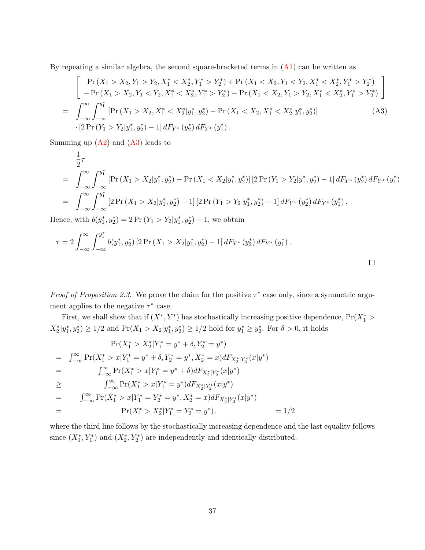By repeating a similar algebra, the second square-bracketed terms in  $(A1)$  can be written as

<span id="page-37-0"></span>
$$
\begin{bmatrix}\n\Pr\left(X_1 > X_2, Y_1 > Y_2, X_1^* < X_2^*, Y_1^* > Y_2^*\right) + \Pr\left(X_1 < X_2, Y_1 < Y_2, X_1^* < X_2^*, Y_1^* > Y_2^*\right) \\
-\Pr\left(X_1 > X_2, Y_1 < Y_2, X_1^* < X_2^*, Y_1^* > Y_2^*\right) - \Pr\left(X_1 < X_2, Y_1 > Y_2, X_1^* < X_2^*, Y_1^* > Y_2^*\right) \\
= \int_{-\infty}^{\infty} \int_{-\infty}^{y_1^*} \left[\Pr\left(X_1 > X_2, X_1^* < X_2^* | y_1^*, y_2^*\right) - \Pr\left(X_1 < X_2, X_1^* < X_2^* | y_1^*, y_2^*\right)\right] \\
\quad \cdot \left[2\Pr\left(Y_1 > Y_2 | y_1^*, y_2^*\right) - 1\right] dF_{Y^*}\left(y_2^*\right) dF_{Y^*}\left(y_1^*\right).\n\end{bmatrix} \tag{A3}
$$

Summing up  $(A2)$  and  $(A3)$  leads to

$$
\frac{1}{2}\tau
$$
\n
$$
= \int_{-\infty}^{\infty} \int_{-\infty}^{y_1^*} \left[ \Pr\left(X_1 > X_2 | y_1^*, y_2^*\right) - \Pr\left(X_1 < X_2 | y_1^*, y_2^*\right) \right] \left[ 2 \Pr\left(Y_1 > Y_2 | y_1^*, y_2^*\right) - 1 \right] dF_{Y^*}\left(y_2^*\right) dF_{Y^*}\left(y_1^*\right)
$$
\n
$$
= \int_{-\infty}^{\infty} \int_{-\infty}^{y_1^*} \left[ 2 \Pr\left(X_1 > X_2 | y_1^*, y_2^*\right) - 1 \right] \left[ 2 \Pr\left(Y_1 > Y_2 | y_1^*, y_2^*\right) - 1 \right] dF_{Y^*}\left(y_2^*\right) dF_{Y^*}\left(y_1^*\right).
$$
\n
$$
\lim_{\varepsilon \to 0} \left[ \int_{-\infty}^{\infty} \int_{-\infty}^{y_1^*} \left[ 2 \Pr\left(X_1 > X_2 | y_1^*, y_2^*\right) - 1 \right] \left[ 2 \Pr\left(Y_1 > Y_2 | y_1^*, y_2^*\right) - 1 \right] dF_{Y^*}\left(y_2^*\right) dF_{Y^*}\left(y_1^*\right).
$$

Hence, with  $b(y_1^*, y_2^*) = 2 \Pr(Y_1 > Y_2 | y_1^*, y_2^*) - 1$ , we obtain

$$
\tau = 2 \int_{-\infty}^{\infty} \int_{-\infty}^{y_1^*} b(y_1^*, y_2^*) \left[2 \Pr(X_1 > X_2 | y_1^*, y_2^*) - 1\right] dF_{Y^*}(y_2^*) dF_{Y^*}(y_1^*).
$$

*Proof of Proposition 2.3.* We prove the claim for the positive  $\tau^*$  case only, since a symmetric argument applies to the negative  $\tau^*$  case.

First, we shall show that if  $(X^*, Y^*)$  has stochastically increasing positive dependence,  $Pr(X_1^*)$  $X_2^* | y_1^*, y_2^* \rangle \ge 1/2$  and  $\Pr(X_1 > X_2 | y_1^*, y_2^* \rangle \ge 1/2$  hold for  $y_1^* \ge y_2^*$ . For  $\delta > 0$ , it holds

$$
\Pr(X_1^* > X_2^* | Y_1^* = y^* + \delta, Y_2^* = y^*)
$$
\n
$$
= \int_{-\infty}^{\infty} \Pr(X_1^* > x | Y_1^* = y^* + \delta, Y_2^* = y^*, X_2^* = x) dF_{X_2^* | Y_2^*}(x | y^*)
$$
\n
$$
= \int_{-\infty}^{\infty} \Pr(X_1^* > x | Y_1^* = y^* + \delta) dF_{X_2^* | Y_2^*}(x | y^*)
$$
\n
$$
\geq \int_{-\infty}^{\infty} \Pr(X_1^* > x | Y_1^* = y^*) dF_{X_2^* | Y_2^*}(x | y^*)
$$
\n
$$
= \int_{-\infty}^{\infty} \Pr(X_1^* > x | Y_1^* = Y_2^* = y^*, X_2^* = x) dF_{X_2^* | Y_2^*}(x | y^*)
$$
\n
$$
= \Pr(X_1^* > X_2^* | Y_1^* = Y_2^* = y^*), \qquad = 1/2
$$

where the third line follows by the stochastically increasing dependence and the last equality follows since  $(X_1^*, Y_1^*)$  and  $(X_2^*, Y_2^*)$  are independently and identically distributed.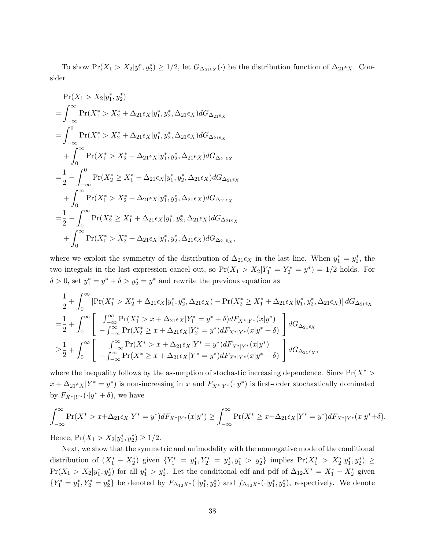To show  $Pr(X_1 > X_2 | y_1^*, y_2^*) \ge 1/2$ , let  $G_{\Delta_{21} \epsilon_X}(\cdot)$  be the distribution function of  $\Delta_{21} \epsilon_X$ . Consider

$$
Pr(X_1 > X_2 | y_1^*, y_2^*)
$$
  
=  $\int_{-\infty}^{\infty} Pr(X_1^* > X_2^* + \Delta_{21}\epsilon_X | y_1^*, y_2^*, \Delta_{21}\epsilon_X) dG_{\Delta_{21}\epsilon_X}$   
=  $\int_{-\infty}^{0} Pr(X_1^* > X_2^* + \Delta_{21}\epsilon_X | y_1^*, y_2^*, \Delta_{21}\epsilon_X) dG_{\Delta_{21}\epsilon_X}$   
+  $\int_{0}^{\infty} Pr(X_1^* > X_2^* + \Delta_{21}\epsilon_X | y_1^*, y_2^*, \Delta_{21}\epsilon_X) dG_{\Delta_{21}\epsilon_X}$   
=  $\frac{1}{2} - \int_{-\infty}^{0} Pr(X_2^* \geq X_1^* - \Delta_{21}\epsilon_X | y_1^*, y_2^*, \Delta_{21}\epsilon_X) dG_{\Delta_{21}\epsilon_X}$   
+  $\int_{0}^{\infty} Pr(X_1^* > X_2^* + \Delta_{21}\epsilon_X | y_1^*, y_2^*, \Delta_{21}\epsilon_X) dG_{\Delta_{21}\epsilon_X}$   
=  $\frac{1}{2} - \int_{0}^{\infty} Pr(X_2^* \geq X_1^* + \Delta_{21}\epsilon_X | y_1^*, y_2^*, \Delta_{21}\epsilon_X) dG_{\Delta_{21}\epsilon_X}$   
+  $\int_{0}^{\infty} Pr(X_1^* > X_2^* + \Delta_{21}\epsilon_X | y_1^*, y_2^*, \Delta_{21}\epsilon_X) dG_{\Delta_{21}\epsilon_X},$ 

where we exploit the symmetry of the distribution of  $\Delta_{21}\epsilon_X$  in the last line. When  $y_1^* = y_2^*$ , the two integrals in the last expression cancel out, so  $Pr(X_1 > X_2 | Y_1^* = Y_2^* = y^*) = 1/2$  holds. For  $\delta > 0$ , set  $y_1^* = y^* + \delta > y_2^* = y^*$  and rewrite the previous equation as

$$
\frac{1}{2} + \int_0^\infty \left[ \Pr(X_1^* > X_2^* + \Delta_{21}\epsilon_X | y_1^*, y_2^*, \Delta_{21}\epsilon_X) - \Pr(X_2^* \ge X_1^* + \Delta_{21}\epsilon_X | y_1^*, y_2^*, \Delta_{21}\epsilon_X) \right] dG_{\Delta_{21}\epsilon_X}
$$
\n
$$
= \frac{1}{2} + \int_0^\infty \left[ \int_{-\infty}^\infty \Pr(X_1^* > x + \Delta_{21}\epsilon_X | Y_1^* = y^* + \delta) dF_{X^*|Y^*}(x|y^*) - \int_{-\infty}^\infty \Pr(X_2^* \ge x + \Delta_{21}\epsilon_X | Y_2^* = y^*) dF_{X^*|Y^*}(x|y^* + \delta) \right] dG_{\Delta_{21}\epsilon_X}
$$
\n
$$
\ge \frac{1}{2} + \int_0^\infty \left[ \int_{-\infty}^\infty \Pr(X^* > x + \Delta_{21}\epsilon_X | Y^* = y^*) dF_{X^*|Y^*}(x|y^*) - \int_{-\infty}^\infty \Pr(X^* \ge x + \Delta_{21}\epsilon_X | Y^* = y^*) dF_{X^*|Y^*}(x|y^* + \delta) \right] dG_{\Delta_{21}\epsilon_X},
$$

where the inequality follows by the assumption of stochastic increasing dependence. Since  $Pr(X^*)$  $x + \Delta_{21} \epsilon_X | Y^* = y^*$  is non-increasing in x and  $F_{X^*|Y^*}(\cdot | y^*)$  is first-order stochastically dominated by  $F_{X^*|Y^*}(\cdot|y^* + \delta)$ , we have

$$
\int_{-\infty}^{\infty} \Pr(X^* > x + \Delta_{21} \epsilon_X | Y^* = y^*) dF_{X^*|Y^*}(x | y^*) \ge \int_{-\infty}^{\infty} \Pr(X^* \ge x + \Delta_{21} \epsilon_X | Y^* = y^*) dF_{X^*|Y^*}(x | y^* + \delta).
$$

Hence,  $Pr(X_1 > X_2 | y_1^*, y_2^*) \ge 1/2$ .

Next, we show that the symmetric and unimodality with the nonnegative mode of the conditional distribution of  $(X_1^* - X_2^*)$  given  $\{Y_1^* = y_1^*, Y_2^* = y_2^*, y_1^* > y_2^*\}\$ implies  $Pr(X_1^* > X_2^* | y_1^*, y_2^*) \ge$  $Pr(X_1 > X_2 | y_1^*, y_2^*)$  for all  $y_1^* > y_2^*$ . Let the conditional cdf and pdf of  $\Delta_{12}X^* = X_1^* - X_2^*$  given  ${Y_1^* = y_1^*, Y_2^* = y_2^*}$  be denoted by  $F_{\Delta_{12}X^*}(\cdot|y_1^*, y_2^*)$  and  $f_{\Delta_{12}X^*}(\cdot|y_1^*, y_2^*)$ , respectively. We denote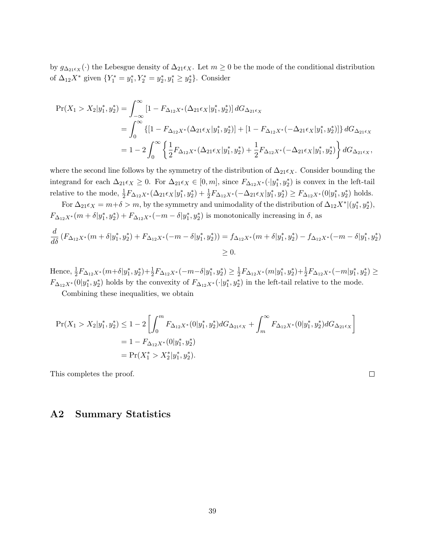by  $g_{\Delta_{21} \epsilon_X}(\cdot)$  the Lebesgue density of  $\Delta_{21} \epsilon_X$ . Let  $m \geq 0$  be the mode of the conditional distribution of  $\Delta_{12}X^*$  given  $\{Y_1^* = y_1^*, Y_2^* = y_2^*, y_1^* \ge y_2^*\}$ . Consider

$$
\begin{split} \Pr(X_1 &> X_2 | y_1^*, y_2^*) = \int_{-\infty}^{\infty} \left[ 1 - F_{\Delta_{12}X^*}(\Delta_{21}\epsilon_X | y_1^*, y_2^*) \right] dG_{\Delta_{21}\epsilon_X} \\ &= \int_{0}^{\infty} \left\{ \left[ 1 - F_{\Delta_{12}X^*}(\Delta_{21}\epsilon_X | y_1^*, y_2^*) \right] + \left[ 1 - F_{\Delta_{12}X^*}(-\Delta_{21}\epsilon_X | y_1^*, y_2^*) \right] \right\} dG_{\Delta_{21}\epsilon_X} \\ &= 1 - 2 \int_{0}^{\infty} \left\{ \frac{1}{2} F_{\Delta_{12}X^*}(\Delta_{21}\epsilon_X | y_1^*, y_2^*) + \frac{1}{2} F_{\Delta_{12}X^*}(-\Delta_{21}\epsilon_X | y_1^*, y_2^*) \right\} dG_{\Delta_{21}\epsilon_X}, \end{split}
$$

where the second line follows by the symmetry of the distribution of  $\Delta_{21}\epsilon_X$ . Consider bounding the integrand for each  $\Delta_{21}\epsilon_X \geq 0$ . For  $\Delta_{21}\epsilon_X \in [0,m]$ , since  $F_{\Delta_{12}X^*}(\cdot|\hat{y}_1^*,y_2^*)$  is convex in the left-tail relative to the mode,  $\frac{1}{2}F_{\Delta_{12}X^*}(\Delta_{21}\epsilon_X|y_1^*,y_2^*) + \frac{1}{2}F_{\Delta_{12}X^*}(-\Delta_{21}\epsilon_X|y_1^*,y_2^*) \geq F_{\Delta_{12}X^*}(0|y_1^*,y_2^*)$  holds.

For  $\Delta_{21}\epsilon_X = m+\delta > m$ , by the symmetry and unimodality of the distribution of  $\Delta_{12}X^*|(y_1^*, y_2^*)$ ,  $F_{\Delta_{12}X^*}(m+\delta|y_1^*,y_2^*) + F_{\Delta_{12}X^*}(-m-\delta|y_1^*,y_2^*)$  is monotonically increasing in  $\delta$ , as  $\frac{d}{d\delta}(F_{\Delta_{12}X^*}(m+\delta|y_1^*,y_2^*)+F_{\Delta_{12}X^*}(-m-\delta|y_1^*,y_2^*))=f_{\Delta_{12}X^*}(m+\delta|y_1^*,y_2^*)-f_{\Delta_{12}X^*}(-m-\delta|y_1^*,y_2^*)$  $>0.$ 

Hence,  $\frac{1}{2}F_{\Delta_{12}X^*}(m+\delta|y_1^*,y_2^*)+\frac{1}{2}F_{\Delta_{12}X^*}(-m-\delta|y_1^*,y_2^*)\geq \frac{1}{2}$  $\frac{1}{2}F_{\Delta_{12}X^*}(m|y_1^*,y_2^*)+\frac{1}{2}F_{\Delta_{12}X^*}(-m|y_1^*,y_2^*)\geq$  $F_{\Delta_{12}X^*}(0|y_1^*,y_2^*)$  holds by the convexity of  $F_{\Delta_{12}X^*}(\cdot|y_1^*,y_2^*)$  in the left-tail relative to the mode.

Combining these inequalities, we obtain

$$
\begin{split} \Pr(X_1 &> X_2 | y_1^*, y_2^* ) \le 1 - 2 \left[ \int_0^m F_{\Delta_{12} X^*}(0 | y_1^*, y_2^*) dG_{\Delta_{21} \epsilon_X} + \int_m^\infty F_{\Delta_{12} X^*}(0 | y_1^*, y_2^*) dG_{\Delta_{21} \epsilon_X} \right] \\ &= 1 - F_{\Delta_{12} X^*}(0 | y_1^*, y_2^*) \\ &= \Pr(X_1^* > X_2^* | y_1^*, y_2^* ). \end{split}
$$

This completes the proof.

#### $\Box$

## A2 Summary Statistics